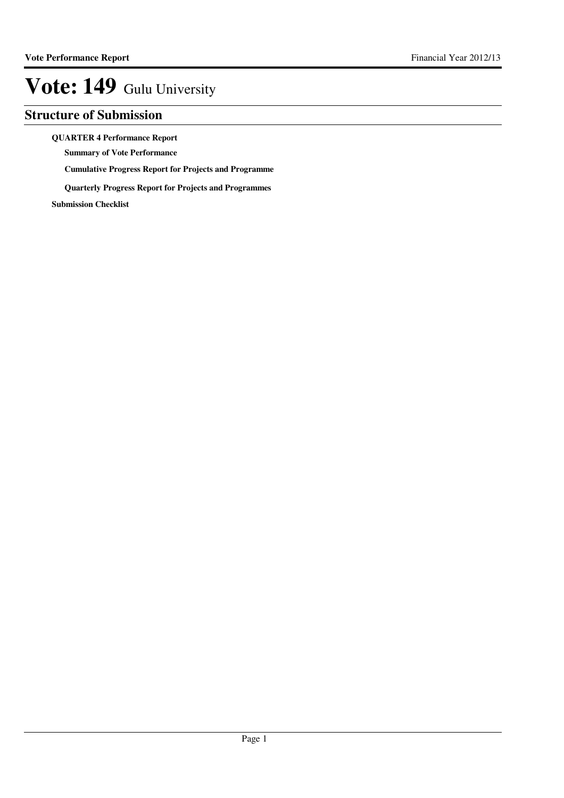## **Structure of Submission**

**QUARTER 4 Performance Report**

**Summary of Vote Performance**

**Cumulative Progress Report for Projects and Programme**

**Quarterly Progress Report for Projects and Programmes**

**Submission Checklist**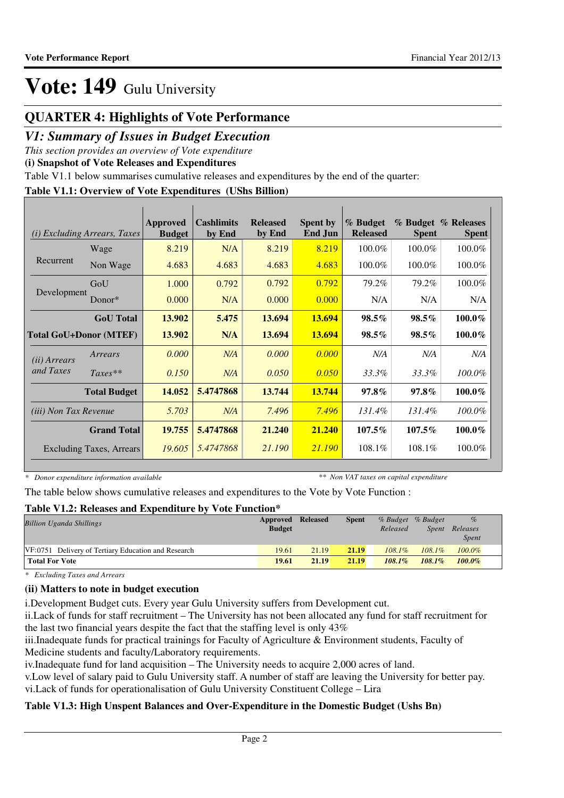## **QUARTER 4: Highlights of Vote Performance**

### *V1: Summary of Issues in Budget Execution*

*This section provides an overview of Vote expenditure* 

**(i) Snapshot of Vote Releases and Expenditures**

Table V1.1 below summarises cumulative releases and expenditures by the end of the quarter:

### **Table V1.1: Overview of Vote Expenditures (UShs Billion)**

| (i)                          | <b>Excluding Arrears, Taxes</b> | <b>Approved</b><br><b>Budget</b> | <b>Cashlimits</b><br>by End | <b>Released</b><br>by End | <b>Spent by</b><br><b>End Jun</b> | % Budget<br><b>Released</b> | <b>Spent</b> | % Budget % Releases<br><b>Spent</b> |
|------------------------------|---------------------------------|----------------------------------|-----------------------------|---------------------------|-----------------------------------|-----------------------------|--------------|-------------------------------------|
|                              | Wage                            | 8.219                            | N/A                         | 8.219                     | 8.219                             | 100.0%                      | 100.0%       | 100.0%                              |
| Recurrent                    | Non Wage                        | 4.683                            | 4.683                       | 4.683                     | 4.683                             | 100.0%                      | 100.0%       | 100.0%                              |
|                              | GoU                             | 1.000                            | 0.792                       | 0.792                     | 0.792                             | 79.2%                       | 79.2%        | 100.0%                              |
| Development                  | Donor $*$                       | 0.000                            | N/A                         | 0.000                     | 0.000                             | N/A                         | N/A          | N/A                                 |
|                              | <b>GoU</b> Total                | 13.902                           | 5.475                       | 13.694                    | 13.694                            | $98.5\%$                    | $98.5\%$     | $100.0\%$                           |
|                              | <b>Total GoU+Donor (MTEF)</b>   | 13.902                           | N/A                         | 13.694                    | 13.694                            | $98.5\%$                    | $98.5\%$     | $100.0\%$                           |
| ( <i>ii</i> ) Arrears        | Arrears                         | 0.000                            | N/A                         | 0.000                     | 0.000                             | N/A                         | N/A          | N/A                                 |
| and Taxes                    | $Taxes**$                       | 0.150                            | N/A                         | 0.050                     | 0.050                             | 33.3%                       | 33.3%        | $100.0\%$                           |
|                              | <b>Total Budget</b>             | 14.052                           | 5.4747868                   | 13.744                    | 13.744                            | $97.8\%$                    | $97.8\%$     | $100.0\%$                           |
| <i>(iii)</i> Non Tax Revenue |                                 | 5.703                            | N/A                         | 7.496                     | 7.496                             | 131.4%                      | 131.4%       | $100.0\%$                           |
|                              | <b>Grand Total</b>              | 19.755                           | 5.4747868                   | 21.240                    | 21.240                            | 107.5%                      | $107.5\%$    | $100.0\%$                           |
|                              | <b>Excluding Taxes, Arrears</b> | 19.605                           | 5.4747868                   | 21.190                    | 21.190                            | 108.1%                      | $108.1\%$    | 100.0%                              |

*\* Donor expenditure information available*

*\*\* Non VAT taxes on capital expenditure*

The table below shows cumulative releases and expenditures to the Vote by Vote Function :

### **Table V1.2: Releases and Expenditure by Vote Function\***

| <b>Billion Uganda Shillings</b>                     | Approved Released<br><b>Budget</b> |       | <b>Spent</b> | Released  | % Budget % Budget<br>Spent | $\%$<br>Releases<br><b>Spent</b> |  |
|-----------------------------------------------------|------------------------------------|-------|--------------|-----------|----------------------------|----------------------------------|--|
| VF:0751 Delivery of Tertiary Education and Research | 19.61                              | 21.19 | 21.19        | $108.1\%$ | $108.1\%$                  | $100.0\%$                        |  |
| <b>Total For Vote</b>                               | 19.61                              | 21.19 | 21.19        | $108.1\%$ | $108.1\%$                  | $100.0\%$                        |  |

*\* Excluding Taxes and Arrears*

### **(ii) Matters to note in budget execution**

i.Development Budget cuts. Every year Gulu University suffers from Development cut.

ii.Lack of funds for staff recruitment – The University has not been allocated any fund for staff recruitment for the last two financial years despite the fact that the staffing level is only 43%

iii.Inadequate funds for practical trainings for Faculty of Agriculture & Environment students, Faculty of Medicine students and faculty/Laboratory requirements.

iv.Inadequate fund for land acquisition – The University needs to acquire 2,000 acres of land.

v.Low level of salary paid to Gulu University staff. A number of staff are leaving the University for better pay. vi.Lack of funds for operationalisation of Gulu University Constituent College – Lira

### **Table V1.3: High Unspent Balances and Over-Expenditure in the Domestic Budget (Ushs Bn)**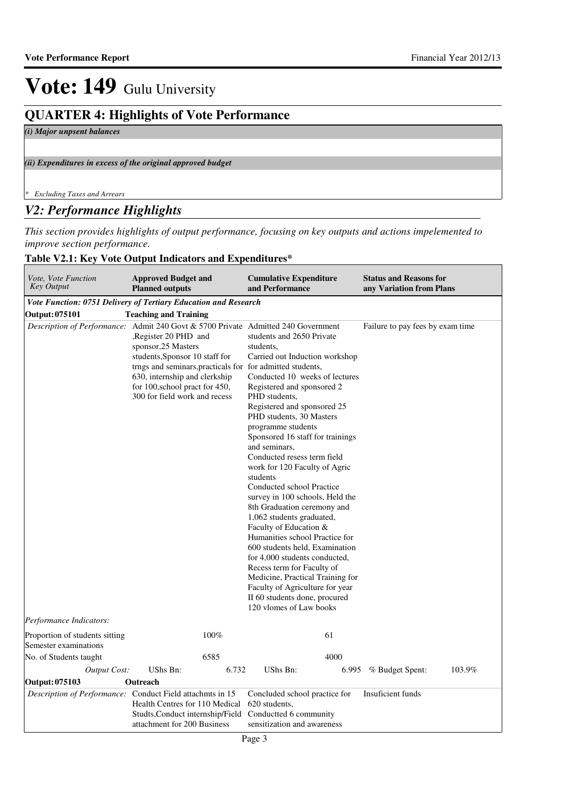## **QUARTER 4: Highlights of Vote Performance**

*(i) Major unpsent balances*

*(ii) Expenditures in excess of the original approved budget*

*\* Excluding Taxes and Arrears*

### *V2: Performance Highlights*

*This section provides highlights of output performance, focusing on key outputs and actions impelemented to improve section performance.*

### **Table V2.1: Key Vote Output Indicators and Expenditures\***

| Vote, Vote Function<br><b>Key Output</b>                | <b>Approved Budget and</b><br><b>Planned outputs</b>                                                                                                                                                                                                                                                                               | <b>Cumulative Expenditure</b><br>and Performance                                                                                                                                                                                                                                                                                                                                                                                                                                                                                                                                                                                                                                                                                                                                                        | <b>Status and Reasons for</b><br>any Variation from Plans |
|---------------------------------------------------------|------------------------------------------------------------------------------------------------------------------------------------------------------------------------------------------------------------------------------------------------------------------------------------------------------------------------------------|---------------------------------------------------------------------------------------------------------------------------------------------------------------------------------------------------------------------------------------------------------------------------------------------------------------------------------------------------------------------------------------------------------------------------------------------------------------------------------------------------------------------------------------------------------------------------------------------------------------------------------------------------------------------------------------------------------------------------------------------------------------------------------------------------------|-----------------------------------------------------------|
|                                                         | Vote Function: 0751 Delivery of Tertiary Education and Research                                                                                                                                                                                                                                                                    |                                                                                                                                                                                                                                                                                                                                                                                                                                                                                                                                                                                                                                                                                                                                                                                                         |                                                           |
| Output: 075101                                          | <b>Teaching and Training</b>                                                                                                                                                                                                                                                                                                       |                                                                                                                                                                                                                                                                                                                                                                                                                                                                                                                                                                                                                                                                                                                                                                                                         |                                                           |
|                                                         | Description of Performance: Admit 240 Govt & 5700 Private Admitted 240 Government<br>Register 20 PHD and<br>sponsor, 25 Masters<br>students, Sponsor 10 staff for<br>trngs and seminars, practicals for for admitted students,<br>630, internship and clerkship<br>for 100, school pract for 450,<br>300 for field work and recess | students and 2650 Private<br>students,<br>Carried out Induction workshop<br>Conducted 10 weeks of lectures<br>Registered and sponsored 2<br>PHD students,<br>Registered and sponsored 25<br>PHD students, 30 Masters<br>programme students<br>Sponsored 16 staff for trainings<br>and seminars,<br>Conducted resess term field<br>work for 120 Faculty of Agric<br>students<br>Conducted school Practice<br>survey in 100 schools, Held the<br>8th Graduation ceremony and<br>1,062 students graduated,<br>Faculty of Education &<br>Humanities school Practice for<br>600 students held, Examination<br>for 4,000 students conducted,<br>Recess term for Faculty of<br>Medicine, Practical Training for<br>Faculty of Agriculture for year<br>II 60 students done, procured<br>120 vlomes of Law books | Failure to pay fees by exam time                          |
| Performance Indicators:                                 |                                                                                                                                                                                                                                                                                                                                    |                                                                                                                                                                                                                                                                                                                                                                                                                                                                                                                                                                                                                                                                                                                                                                                                         |                                                           |
| Proportion of students sitting<br>Semester examinations | 100%                                                                                                                                                                                                                                                                                                                               | 61                                                                                                                                                                                                                                                                                                                                                                                                                                                                                                                                                                                                                                                                                                                                                                                                      |                                                           |
| No. of Students taught                                  | 6585                                                                                                                                                                                                                                                                                                                               | 4000                                                                                                                                                                                                                                                                                                                                                                                                                                                                                                                                                                                                                                                                                                                                                                                                    |                                                           |
| Output Cost:                                            | UShs Bn:<br>6.732                                                                                                                                                                                                                                                                                                                  | UShs Bn:<br>6.995                                                                                                                                                                                                                                                                                                                                                                                                                                                                                                                                                                                                                                                                                                                                                                                       | % Budget Spent:<br>103.9%                                 |
| Output: 075103                                          | Outreach                                                                                                                                                                                                                                                                                                                           |                                                                                                                                                                                                                                                                                                                                                                                                                                                                                                                                                                                                                                                                                                                                                                                                         |                                                           |
|                                                         | Description of Performance: Conduct Field attachmts in 15<br>Health Centres for 110 Medical<br>Studts, Conduct internship/Field<br>attachment for 200 Business                                                                                                                                                                     | Concluded school practice for<br>620 students.<br>Conductted 6 community<br>sensitization and awareness                                                                                                                                                                                                                                                                                                                                                                                                                                                                                                                                                                                                                                                                                                 | Insuficient funds                                         |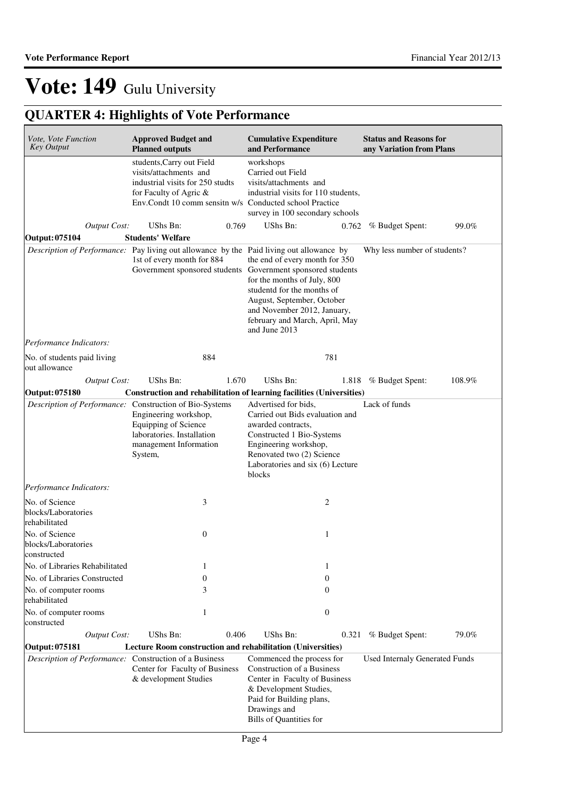## **QUARTER 4: Highlights of Vote Performance**

| Vote, Vote Function<br><b>Key Output</b>                                        | <b>Approved Budget and</b><br><b>Planned outputs</b>                                                                                                                                  | <b>Cumulative Expenditure</b><br>and Performance                                                                                                                                                               | <b>Status and Reasons for</b><br>any Variation from Plans |
|---------------------------------------------------------------------------------|---------------------------------------------------------------------------------------------------------------------------------------------------------------------------------------|----------------------------------------------------------------------------------------------------------------------------------------------------------------------------------------------------------------|-----------------------------------------------------------|
|                                                                                 | students, Carry out Field<br>visits/attachments and<br>industrial visits for 250 studts<br>for Faculty of Agric &<br>Env.Condt 10 comm sensitn w/s Conducted school Practice          | workshops<br>Carried out Field<br>visits/attachments and<br>industrial visits for 110 students,<br>survey in 100 secondary schools                                                                             |                                                           |
| <b>Output Cost:</b>                                                             | UShs Bn:<br>0.769                                                                                                                                                                     | UShs Bn:<br>0.762                                                                                                                                                                                              | % Budget Spent:<br>99.0%                                  |
| <b>Output: 075104</b>                                                           | <b>Students' Welfare</b>                                                                                                                                                              |                                                                                                                                                                                                                |                                                           |
|                                                                                 | Description of Performance: Pay living out allowance by the Paid living out allowance by<br>1st of every month for 884<br>Government sponsored students Government sponsored students | the end of every month for 350<br>for the months of July, 800<br>studentd for the months of<br>August, September, October<br>and November 2012, January,<br>february and March, April, May<br>and June 2013    | Why less number of students?                              |
| Performance Indicators:                                                         |                                                                                                                                                                                       |                                                                                                                                                                                                                |                                                           |
| No. of students paid living<br>out allowance                                    | 884                                                                                                                                                                                   | 781                                                                                                                                                                                                            |                                                           |
| <b>Output Cost:</b>                                                             | UShs Bn:<br>1.670                                                                                                                                                                     | UShs Bn:<br>1.818                                                                                                                                                                                              | 108.9%<br>% Budget Spent:                                 |
| <b>Output: 075180</b>                                                           | Construction and rehabilitation of learning facilities (Universities)                                                                                                                 |                                                                                                                                                                                                                |                                                           |
|                                                                                 | Description of Performance: Construction of Bio-Systems<br>Engineering workshop,<br>Equipping of Science<br>laboratories. Installation<br>management Information<br>System,           | Advertised for bids,<br>Carried out Bids evaluation and<br>awarded contracts,<br>Constructed 1 Bio-Systems<br>Engineering workshop,<br>Renovated two (2) Science<br>Laboratories and six (6) Lecture<br>blocks | Lack of funds                                             |
| Performance Indicators:                                                         |                                                                                                                                                                                       |                                                                                                                                                                                                                |                                                           |
| No. of Science<br>blocks/Laboratories<br>rehabilitated                          | 3                                                                                                                                                                                     | 2                                                                                                                                                                                                              |                                                           |
| No. of Science<br>blocks/Laboratories<br>constructed                            | $\mathbf{0}$                                                                                                                                                                          | 1                                                                                                                                                                                                              |                                                           |
| No. of Libraries Rehabilitated                                                  | 1                                                                                                                                                                                     | 1                                                                                                                                                                                                              |                                                           |
| No. of Libraries Constructed                                                    | $\overline{0}$                                                                                                                                                                        | $\theta$                                                                                                                                                                                                       |                                                           |
| No. of computer rooms<br>rehabilitated                                          | 3                                                                                                                                                                                     | $\Omega$                                                                                                                                                                                                       |                                                           |
| No. of computer rooms<br>constructed                                            | 1                                                                                                                                                                                     | $\boldsymbol{0}$                                                                                                                                                                                               |                                                           |
| <b>Output Cost:</b>                                                             | UShs Bn:<br>0.406                                                                                                                                                                     | UShs Bn:<br>0.321                                                                                                                                                                                              | 79.0%<br>% Budget Spent:                                  |
| <b>Output: 075181</b><br>Description of Performance: Construction of a Business | <b>Lecture Room construction and rehabilitation (Universities)</b><br>Center for Faculty of Business<br>& development Studies                                                         | Commenced the process for<br>Construction of a Business<br>Center in Faculty of Business                                                                                                                       | Used Internaly Generated Funds                            |
|                                                                                 |                                                                                                                                                                                       | & Development Studies,<br>Paid for Building plans,<br>Drawings and<br>Bills of Quantities for                                                                                                                  |                                                           |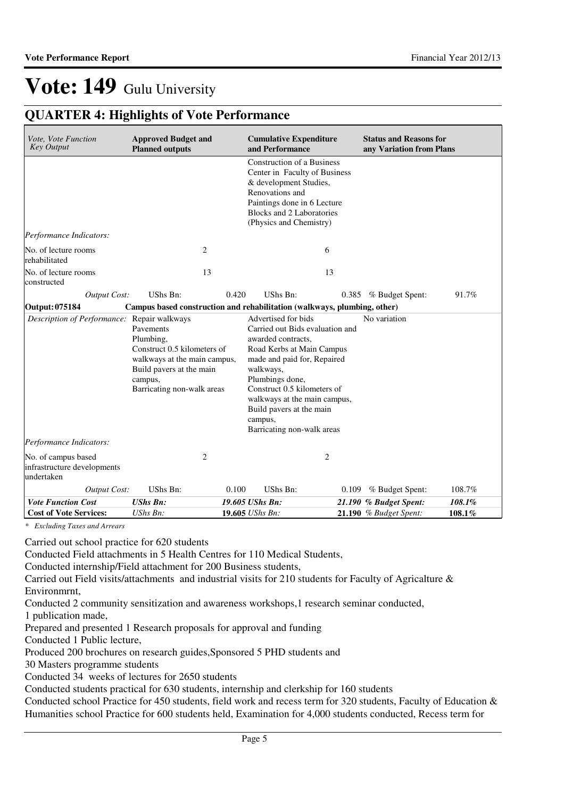## **QUARTER 4: Highlights of Vote Performance**

| Vote, Vote Function<br><b>Key Output</b>                         | <b>Approved Budget and</b><br><b>Planned outputs</b>                                                                                                       |       | <b>Cumulative Expenditure</b><br>and Performance                                                                                                                                                                                                                                                             |    | <b>Status and Reasons for</b><br>any Variation from Plans |        |
|------------------------------------------------------------------|------------------------------------------------------------------------------------------------------------------------------------------------------------|-------|--------------------------------------------------------------------------------------------------------------------------------------------------------------------------------------------------------------------------------------------------------------------------------------------------------------|----|-----------------------------------------------------------|--------|
|                                                                  |                                                                                                                                                            |       | <b>Construction of a Business</b><br>Center in Faculty of Business<br>& development Studies,<br>Renovations and<br>Paintings done in 6 Lecture<br>Blocks and 2 Laboratories<br>(Physics and Chemistry)                                                                                                       |    |                                                           |        |
| Performance Indicators:                                          |                                                                                                                                                            |       |                                                                                                                                                                                                                                                                                                              |    |                                                           |        |
| No. of lecture rooms<br>rehabilitated                            | $\overline{2}$                                                                                                                                             |       |                                                                                                                                                                                                                                                                                                              | 6  |                                                           |        |
| No. of lecture rooms<br>constructed                              | 13                                                                                                                                                         |       |                                                                                                                                                                                                                                                                                                              | 13 |                                                           |        |
| Output Cost:                                                     | UShs Bn:                                                                                                                                                   | 0.420 | UShs Bn:                                                                                                                                                                                                                                                                                                     |    | 0.385 % Budget Spent:                                     | 91.7%  |
| Output: 075184                                                   | Campus based construction and rehabilitation (walkways, plumbing, other)                                                                                   |       |                                                                                                                                                                                                                                                                                                              |    |                                                           |        |
| Description of Performance: Repair walkways                      | Pavements<br>Plumbing,<br>Construct 0.5 kilometers of<br>walkways at the main campus,<br>Build pavers at the main<br>campus,<br>Barricating non-walk areas |       | Advertised for bids<br>Carried out Bids evaluation and<br>awarded contracts,<br>Road Kerbs at Main Campus<br>made and paid for, Repaired<br>walkways,<br>Plumbings done,<br>Construct 0.5 kilometers of<br>walkways at the main campus,<br>Build pavers at the main<br>campus,<br>Barricating non-walk areas |    | No variation                                              |        |
| Performance Indicators:                                          |                                                                                                                                                            |       |                                                                                                                                                                                                                                                                                                              |    |                                                           |        |
| No. of campus based<br>infrastructure developments<br>undertaken | $\overline{2}$                                                                                                                                             |       |                                                                                                                                                                                                                                                                                                              | 2  |                                                           |        |
| Output Cost:                                                     | UShs Bn:                                                                                                                                                   | 0.100 | UShs Bn:                                                                                                                                                                                                                                                                                                     |    | $0.109$ % Budget Spent:                                   | 108.7% |
| <b>Vote Function Cost</b>                                        | <b>UShs Bn:</b>                                                                                                                                            |       | 19.605 UShs Bn:                                                                                                                                                                                                                                                                                              |    | 21.190 % Budget Spent:                                    | 108.1% |
| <b>Cost of Vote Services:</b>                                    | UShs Bn:                                                                                                                                                   |       | 19.605 UShs Bn:                                                                                                                                                                                                                                                                                              |    | <b>21.190</b> % Budget Spent:                             | 108.1% |

*\* Excluding Taxes and Arrears*

Carried out school practice for 620 students

Conducted Field attachments in 5 Health Centres for 110 Medical Students,

Conducted internship/Field attachment for 200 Business students,

Carried out Field visits/attachments and industrial visits for 210 students for Faculty of Agricalture & Environmrnt,

Conducted 2 community sensitization and awareness workshops,1 research seminar conducted,

1 publication made,

Prepared and presented 1 Research proposals for approval and funding

Conducted 1 Public lecture,

Produced 200 brochures on research guides,Sponsored 5 PHD students and

30 Masters programme students

Conducted 34 weeks of lectures for 2650 students

Conducted students practical for 630 students, internship and clerkship for 160 students

Conducted school Practice for 450 students, field work and recess term for 320 students, Faculty of Education & Humanities school Practice for 600 students held, Examination for 4,000 students conducted, Recess term for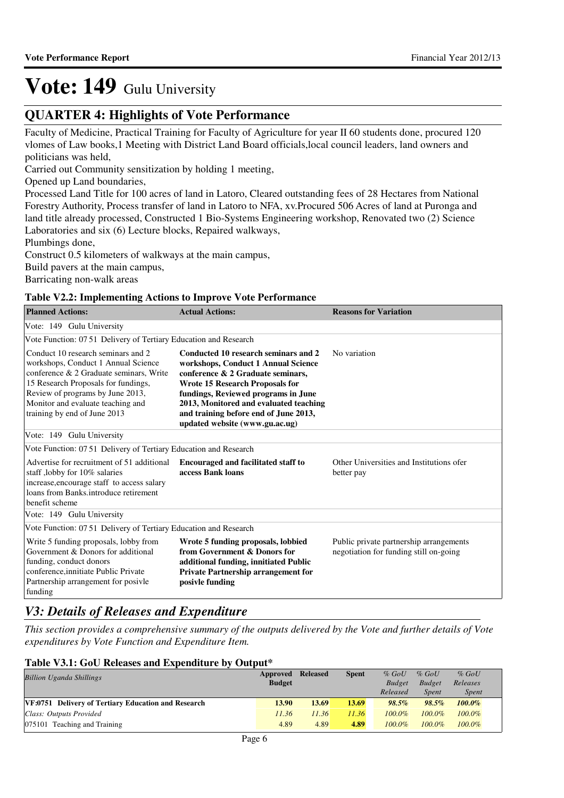## **QUARTER 4: Highlights of Vote Performance**

Faculty of Medicine, Practical Training for Faculty of Agriculture for year II 60 students done, procured 120 vlomes of Law books,1 Meeting with District Land Board officials,local council leaders, land owners and politicians was held,

Carried out Community sensitization by holding 1 meeting,

Opened up Land boundaries,

Processed Land Title for 100 acres of land in Latoro, Cleared outstanding fees of 28 Hectares from National Forestry Authority, Process transfer of land in Latoro to NFA, xv.Procured 506 Acres of land at Puronga and land title already processed, Constructed 1 Bio-Systems Engineering workshop, Renovated two (2) Science Laboratories and six (6) Lecture blocks, Repaired walkways,

Plumbings done,

Construct 0.5 kilometers of walkways at the main campus,

Build pavers at the main campus,

Barricating non-walk areas

### **Table V2.2: Implementing Actions to Improve Vote Performance**

| <b>Planned Actions:</b>                                                                                                                                                                                                                                              | <b>Actual Actions:</b>                                                                                                                                                                                                                                                                                                 | <b>Reasons for Variation</b>                                                      |  |  |  |  |  |  |  |
|----------------------------------------------------------------------------------------------------------------------------------------------------------------------------------------------------------------------------------------------------------------------|------------------------------------------------------------------------------------------------------------------------------------------------------------------------------------------------------------------------------------------------------------------------------------------------------------------------|-----------------------------------------------------------------------------------|--|--|--|--|--|--|--|
| Vote: 149 Gulu University                                                                                                                                                                                                                                            |                                                                                                                                                                                                                                                                                                                        |                                                                                   |  |  |  |  |  |  |  |
| Vote Function: 07 51 Delivery of Tertiary Education and Research                                                                                                                                                                                                     |                                                                                                                                                                                                                                                                                                                        |                                                                                   |  |  |  |  |  |  |  |
| Conduct 10 research seminars and 2<br>workshops, Conduct 1 Annual Science<br>conference & 2 Graduate seminars, Write<br>15 Research Proposals for fundings,<br>Review of programs by June 2013,<br>Monitor and evaluate teaching and<br>training by end of June 2013 | Conducted 10 research seminars and 2<br>workshops, Conduct 1 Annual Science<br>conference & 2 Graduate seminars,<br><b>Wrote 15 Research Proposals for</b><br>fundings, Reviewed programs in June<br>2013, Monitored and evaluated teaching<br>and training before end of June 2013,<br>updated website (www.gu.ac.ug) | No variation                                                                      |  |  |  |  |  |  |  |
| Vote: 149 Gulu University                                                                                                                                                                                                                                            |                                                                                                                                                                                                                                                                                                                        |                                                                                   |  |  |  |  |  |  |  |
| Vote Function: 07.51 Delivery of Tertiary Education and Research                                                                                                                                                                                                     |                                                                                                                                                                                                                                                                                                                        |                                                                                   |  |  |  |  |  |  |  |
| Advertise for recruitment of 51 additional<br>staff, lobby for 10% salaries<br>increase, encourage staff to access salary<br>loans from Banks.introduce retirement<br>benefit scheme                                                                                 | <b>Encouraged and facilitated staff to</b><br>access Bank loans                                                                                                                                                                                                                                                        | Other Universities and Institutions ofer<br>better pay                            |  |  |  |  |  |  |  |
| Vote: 149 Gulu University                                                                                                                                                                                                                                            |                                                                                                                                                                                                                                                                                                                        |                                                                                   |  |  |  |  |  |  |  |
| Vote Function: 07 51 Delivery of Tertiary Education and Research                                                                                                                                                                                                     |                                                                                                                                                                                                                                                                                                                        |                                                                                   |  |  |  |  |  |  |  |
| Write 5 funding proposals, lobby from<br>Government & Donors for additional<br>funding, conduct donors<br>conference, innitiate Public Private<br>Partnership arrangement for posivle<br>funding                                                                     | Wrote 5 funding proposals, lobbied<br>from Government & Donors for<br>additional funding, innitiated Public<br><b>Private Partnership arrangement for</b><br>posivle funding                                                                                                                                           | Public private partnership arrangements<br>negotiation for funding still on-going |  |  |  |  |  |  |  |

## *V3: Details of Releases and Expenditure*

*This section provides a comprehensive summary of the outputs delivered by the Vote and further details of Vote expenditures by Vote Function and Expenditure Item.*

### **Table V3.1: GoU Releases and Expenditure by Output\***

| <b>Billion Uganda Shillings</b>                     | Approved<br><b>Budget</b> | <b>Released</b> | <b>Spent</b> | $%$ GoU<br><b>Budget</b><br>Released | $\%$ GoU<br><b>Budget</b><br>Spent | $%$ GoU<br>Releases<br><i>Spent</i> |
|-----------------------------------------------------|---------------------------|-----------------|--------------|--------------------------------------|------------------------------------|-------------------------------------|
| VF:0751 Delivery of Tertiary Education and Research | 13.90                     | 13.69           | 13.69        | $98.5\%$                             | $98.5\%$                           | $100.0\%$                           |
| Class: Outputs Provided                             | 11.36                     | 11.36           | 11.36        | $100.0\%$                            | $100.0\%$                          | $100.0\%$                           |
| 075101 Teaching and Training                        | 4.89                      | 4.89            | 4.89         | $100.0\%$                            | $100.0\%$                          | $100.0\%$                           |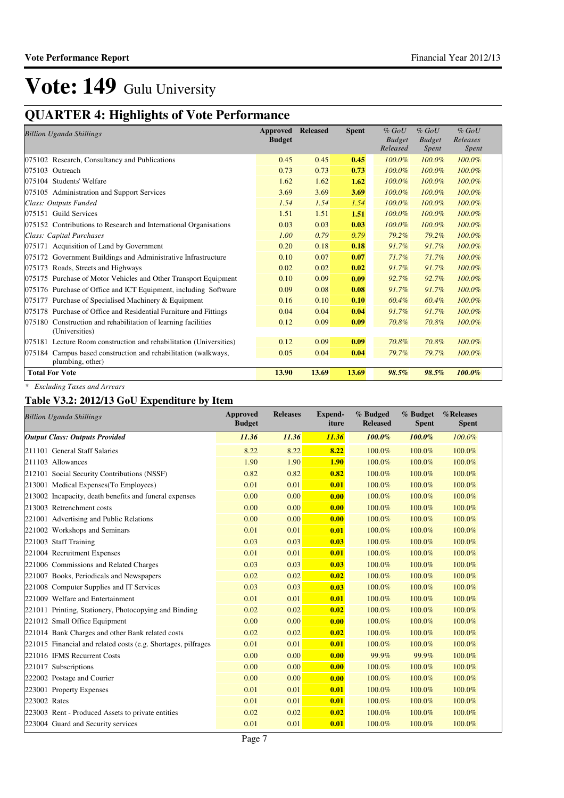## **QUARTER 4: Highlights of Vote Performance**

| <b>Billion Uganda Shillings</b>                                    | Approved      | <b>Released</b> | <b>Spent</b> | $%$ GoU       | $%$ GoU       | $%$ GoU      |
|--------------------------------------------------------------------|---------------|-----------------|--------------|---------------|---------------|--------------|
|                                                                    | <b>Budget</b> |                 |              | <b>Budget</b> | <b>Budget</b> | Releases     |
|                                                                    |               |                 |              | Released      | Spent         | <b>Spent</b> |
| 075102 Research, Consultancy and Publications                      | 0.45          | 0.45            | 0.45         | 100.0%        | $100.0\%$     | 100.0%       |
| 075103 Outreach                                                    | 0.73          | 0.73            | 0.73         | 100.0%        | 100.0%        | 100.0%       |
| 075104 Students' Welfare                                           | 1.62          | 1.62            | 1.62         | 100.0%        | 100.0%        | 100.0%       |
| 075105 Administration and Support Services                         | 3.69          | 3.69            | 3.69         | 100.0%        | $100.0\%$     | 100.0%       |
| Class: Outputs Funded                                              | 1.54          | 1.54            | 1.54         | 100.0%        | $100.0\%$     | 100.0%       |
| <b>Guild Services</b><br>075151                                    | 1.51          | 1.51            | 1.51         | 100.0%        | 100.0%        | 100.0%       |
| 075152 Contributions to Research and International Organisations   | 0.03          | 0.03            | 0.03         | 100.0%        | 100.0%        | 100.0%       |
| Class: Capital Purchases                                           | 1.00          | 0.79            | 0.79         | 79.2%         | 79.2%         | 100.0%       |
| 075171 Acquisition of Land by Government                           | 0.20          | 0.18            | 0.18         | 91.7%         | 91.7%         | 100.0%       |
| 075172 Government Buildings and Administrative Infrastructure      | 0.10          | 0.07            | 0.07         | 71.7%         | 71.7%         | 100.0%       |
| 075173 Roads, Streets and Highways                                 | 0.02          | 0.02            | 0.02         | 91.7%         | 91.7%         | 100.0%       |
| 075175 Purchase of Motor Vehicles and Other Transport Equipment    | 0.10          | 0.09            | 0.09         | 92.7%         | 92.7%         | 100.0%       |
| 075176 Purchase of Office and ICT Equipment, including Software    | 0.09          | 0.08            | 0.08         | 91.7%         | 91.7%         | 100.0%       |
| Purchase of Specialised Machinery & Equipment<br>075177            | 0.16          | 0.10            | 0.10         | 60.4%         | 60.4%         | 100.0%       |
| 075178 Purchase of Office and Residential Furniture and Fittings   | 0.04          | 0.04            | 0.04         | 91.7%         | 91.7%         | 100.0%       |
| 075180 Construction and rehabilitation of learning facilities      | 0.12          | 0.09            | 0.09         | 70.8%         | 70.8%         | 100.0%       |
| (Universities)                                                     |               |                 |              |               |               |              |
| 075181 Lecture Room construction and rehabilitation (Universities) | 0.12          | 0.09            | 0.09         | 70.8%         | 70.8%         | 100.0%       |
| Campus based construction and rehabilitation (walkways,<br>075184  | 0.05          | 0.04            | 0.04         | 79.7%         | 79.7%         | 100.0%       |
| plumbing, other)                                                   |               |                 |              |               |               |              |
| <b>Total For Vote</b>                                              | 13.90         | 13.69           | 13.69        | 98.5%         | 98.5%         | 100.0%       |

*\* Excluding Taxes and Arrears*

### **Table V3.2: 2012/13 GoU Expenditure by Item**

| <b>Billion Uganda Shillings</b>                               | <b>Approved</b><br><b>Budget</b> | <b>Releases</b> | Expend-<br>iture | % Budged<br><b>Released</b> | % Budget<br><b>Spent</b> | %Releases<br><b>Spent</b> |
|---------------------------------------------------------------|----------------------------------|-----------------|------------------|-----------------------------|--------------------------|---------------------------|
| <b>Output Class: Outputs Provided</b>                         | 11.36                            | 11.36           | 11.36            | $100.0\%$                   | $100.0\%$                | 100.0%                    |
| 211101 General Staff Salaries                                 | 8.22                             | 8.22            | 8.22             | 100.0%                      | 100.0%                   | 100.0%                    |
| 211103 Allowances                                             | 1.90                             | 1.90            | <b>1.90</b>      | 100.0%                      | 100.0%                   | 100.0%                    |
| 212101 Social Security Contributions (NSSF)                   | 0.82                             | 0.82            | 0.82             | 100.0%                      | 100.0%                   | 100.0%                    |
| 213001 Medical Expenses (To Employees)                        | 0.01                             | 0.01            | 0.01             | 100.0%                      | 100.0%                   | 100.0%                    |
| 213002 Incapacity, death benefits and funeral expenses        | 0.00                             | 0.00            | 0.00             | 100.0%                      | 100.0%                   | 100.0%                    |
| 213003 Retrenchment costs                                     | 0.00                             | 0.00            | 0.00             | 100.0%                      | 100.0%                   | 100.0%                    |
| 221001 Advertising and Public Relations                       | 0.00                             | 0.00            | 0.00             | 100.0%                      | 100.0%                   | 100.0%                    |
| 221002 Workshops and Seminars                                 | 0.01                             | 0.01            | 0.01             | 100.0%                      | 100.0%                   | 100.0%                    |
| 221003 Staff Training                                         | 0.03                             | 0.03            | 0.03             | 100.0%                      | 100.0%                   | 100.0%                    |
| 221004 Recruitment Expenses                                   | 0.01                             | 0.01            | 0.01             | 100.0%                      | 100.0%                   | 100.0%                    |
| 221006 Commissions and Related Charges                        | 0.03                             | 0.03            | 0.03             | 100.0%                      | 100.0%                   | 100.0%                    |
| 221007 Books, Periodicals and Newspapers                      | 0.02                             | 0.02            | 0.02             | 100.0%                      | 100.0%                   | 100.0%                    |
| 221008 Computer Supplies and IT Services                      | 0.03                             | 0.03            | 0.03             | 100.0%                      | 100.0%                   | 100.0%                    |
| 221009 Welfare and Entertainment                              | 0.01                             | 0.01            | 0.01             | 100.0%                      | 100.0%                   | 100.0%                    |
| 221011 Printing, Stationery, Photocopying and Binding         | 0.02                             | 0.02            | 0.02             | 100.0%                      | 100.0%                   | 100.0%                    |
| 221012 Small Office Equipment                                 | 0.00                             | 0.00            | 0.00             | 100.0%                      | 100.0%                   | 100.0%                    |
| 221014 Bank Charges and other Bank related costs              | 0.02                             | 0.02            | 0.02             | 100.0%                      | 100.0%                   | 100.0%                    |
| 221015 Financial and related costs (e.g. Shortages, pilfrages | 0.01                             | 0.01            | 0.01             | 100.0%                      | 100.0%                   | 100.0%                    |
| 221016 IFMS Recurrent Costs                                   | 0.00                             | 0.00            | 0.00             | 99.9%                       | 99.9%                    | 100.0%                    |
| 221017 Subscriptions                                          | 0.00                             | 0.00            | 0.00             | 100.0%                      | 100.0%                   | 100.0%                    |
| 222002 Postage and Courier                                    | 0.00                             | 0.00            | 0.00             | 100.0%                      | 100.0%                   | 100.0%                    |
| 223001 Property Expenses                                      | 0.01                             | 0.01            | 0.01             | 100.0%                      | 100.0%                   | 100.0%                    |
| 223002 Rates                                                  | 0.01                             | 0.01            | 0.01             | 100.0%                      | 100.0%                   | 100.0%                    |
| 223003 Rent - Produced Assets to private entities             | 0.02                             | 0.02            | 0.02             | 100.0%                      | 100.0%                   | 100.0%                    |
| 223004 Guard and Security services                            | 0.01                             | 0.01            | 0.01             | 100.0%                      | 100.0%                   | 100.0%                    |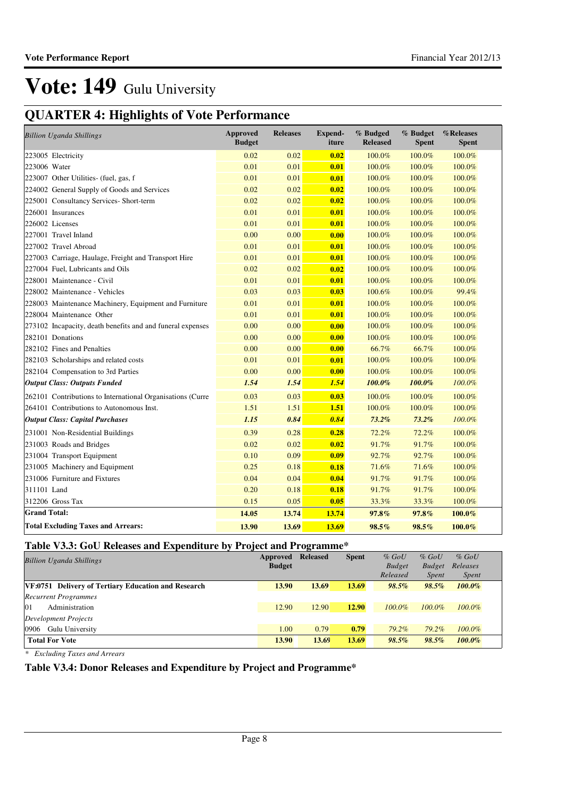## **QUARTER 4: Highlights of Vote Performance**

| <b>Billion Uganda Shillings</b>                            | <b>Approved</b><br><b>Budget</b> | <b>Releases</b> | <b>Expend-</b><br>iture | % Budged<br><b>Released</b> | % Budget<br><b>Spent</b> | %Releases<br><b>Spent</b> |
|------------------------------------------------------------|----------------------------------|-----------------|-------------------------|-----------------------------|--------------------------|---------------------------|
| 223005 Electricity                                         | 0.02                             | 0.02            | 0.02                    | 100.0%                      | 100.0%                   | 100.0%                    |
| 223006 Water                                               | 0.01                             | 0.01            | 0.01                    | 100.0%                      | 100.0%                   | 100.0%                    |
| 223007 Other Utilities- (fuel, gas, f                      | 0.01                             | 0.01            | 0.01                    | 100.0%                      | 100.0%                   | 100.0%                    |
| 224002 General Supply of Goods and Services                | 0.02                             | 0.02            | 0.02                    | 100.0%                      | 100.0%                   | 100.0%                    |
| 225001 Consultancy Services- Short-term                    | 0.02                             | 0.02            | 0.02                    | 100.0%                      | 100.0%                   | 100.0%                    |
| 226001 Insurances                                          | 0.01                             | 0.01            | 0.01                    | 100.0%                      | 100.0%                   | 100.0%                    |
| 226002 Licenses                                            | 0.01                             | 0.01            | 0.01                    | 100.0%                      | 100.0%                   | 100.0%                    |
| 227001 Travel Inland                                       | 0.00                             | 0.00            | 0.00                    | 100.0%                      | 100.0%                   | 100.0%                    |
| 227002 Travel Abroad                                       | 0.01                             | 0.01            | 0.01                    | 100.0%                      | 100.0%                   | 100.0%                    |
| 227003 Carriage, Haulage, Freight and Transport Hire       | 0.01                             | 0.01            | 0.01                    | 100.0%                      | 100.0%                   | 100.0%                    |
| 227004 Fuel, Lubricants and Oils                           | 0.02                             | 0.02            | 0.02                    | 100.0%                      | 100.0%                   | 100.0%                    |
| 228001 Maintenance - Civil                                 | 0.01                             | 0.01            | 0.01                    | 100.0%                      | 100.0%                   | 100.0%                    |
| 228002 Maintenance - Vehicles                              | 0.03                             | 0.03            | 0.03                    | 100.6%                      | 100.0%                   | 99.4%                     |
| 228003 Maintenance Machinery, Equipment and Furniture      | 0.01                             | 0.01            | 0.01                    | 100.0%                      | 100.0%                   | 100.0%                    |
| 228004 Maintenance Other                                   | 0.01                             | 0.01            | 0.01                    | 100.0%                      | 100.0%                   | 100.0%                    |
| 273102 Incapacity, death benefits and and funeral expenses | 0.00                             | 0.00            | 0.00                    | 100.0%                      | 100.0%                   | 100.0%                    |
| 282101 Donations                                           | 0.00                             | 0.00            | 0.00                    | 100.0%                      | 100.0%                   | 100.0%                    |
| 282102 Fines and Penalties                                 | 0.00                             | 0.00            | 0.00                    | 66.7%                       | 66.7%                    | 100.0%                    |
| 282103 Scholarships and related costs                      | 0.01                             | 0.01            | 0.01                    | 100.0%                      | 100.0%                   | 100.0%                    |
| 282104 Compensation to 3rd Parties                         | 0.00                             | 0.00            | 0.00                    | 100.0%                      | 100.0%                   | 100.0%                    |
| <b>Output Class: Outputs Funded</b>                        | 1.54                             | 1.54            | 1.54                    | 100.0%                      | 100.0%                   | 100.0%                    |
| 262101 Contributions to International Organisations (Curre | 0.03                             | 0.03            | 0.03                    | 100.0%                      | 100.0%                   | 100.0%                    |
| 264101 Contributions to Autonomous Inst.                   | 1.51                             | 1.51            | 1.51                    | 100.0%                      | 100.0%                   | 100.0%                    |
| <b>Output Class: Capital Purchases</b>                     | 1.15                             | 0.84            | 0.84                    | $73.2\%$                    | 73.2%                    | 100.0%                    |
| 231001 Non-Residential Buildings                           | 0.39                             | 0.28            | 0.28                    | 72.2%                       | 72.2%                    | 100.0%                    |
| 231003 Roads and Bridges                                   | 0.02                             | 0.02            | 0.02                    | 91.7%                       | 91.7%                    | 100.0%                    |
| 231004 Transport Equipment                                 | 0.10                             | 0.09            | 0.09                    | 92.7%                       | 92.7%                    | 100.0%                    |
| 231005 Machinery and Equipment                             | 0.25                             | 0.18            | 0.18                    | 71.6%                       | 71.6%                    | 100.0%                    |
| 231006 Furniture and Fixtures                              | 0.04                             | 0.04            | 0.04                    | 91.7%                       | 91.7%                    | 100.0%                    |
| 311101 Land                                                | 0.20                             | 0.18            | 0.18                    | 91.7%                       | 91.7%                    | 100.0%                    |
| 312206 Gross Tax                                           | 0.15                             | 0.05            | 0.05                    | 33.3%                       | 33.3%                    | 100.0%                    |
| <b>Grand Total:</b>                                        | 14.05                            | 13.74           | 13.74                   | 97.8%                       | 97.8%                    | 100.0%                    |
| <b>Total Excluding Taxes and Arrears:</b>                  | 13.90                            | 13.69           | 13.69                   | 98.5%                       | 98.5%                    | 100.0%                    |

### **Table V3.3: GoU Releases and Expenditure by Project and Programme\***

| <b>Billion Uganda Shillings</b>                     | Approved      | <b>Released</b> | <b>Spent</b> | $%$ GoU       | $%$ GoU       | $%$ GoU      |
|-----------------------------------------------------|---------------|-----------------|--------------|---------------|---------------|--------------|
|                                                     | <b>Budget</b> |                 |              | <b>Budget</b> | <b>Budget</b> | Releases     |
|                                                     |               |                 |              | Released      | <i>Spent</i>  | <i>Spent</i> |
| VF:0751 Delivery of Tertiary Education and Research | 13.90         | 13.69           | 13.69        | 98.5%         | 98.5%         | $100.0\%$    |
| <b>Recurrent Programmes</b>                         |               |                 |              |               |               |              |
| 01<br>Administration                                | 12.90         | 12.90           | 12.90        | $100.0\%$     | $100.0\%$     | $100.0\%$    |
| Development Projects                                |               |                 |              |               |               |              |
| 0906<br>Gulu University                             | 1.00          | 0.79            | 0.79         | $79.2\%$      | 79.2%         | $100.0\%$    |
| <b>Total For Vote</b>                               | 13.90         | 13.69           | 13.69        | $98.5\%$      | 98.5%         | $100.0\%$    |

*\* Excluding Taxes and Arrears*

### **Table V3.4: Donor Releases and Expenditure by Project and Programme\***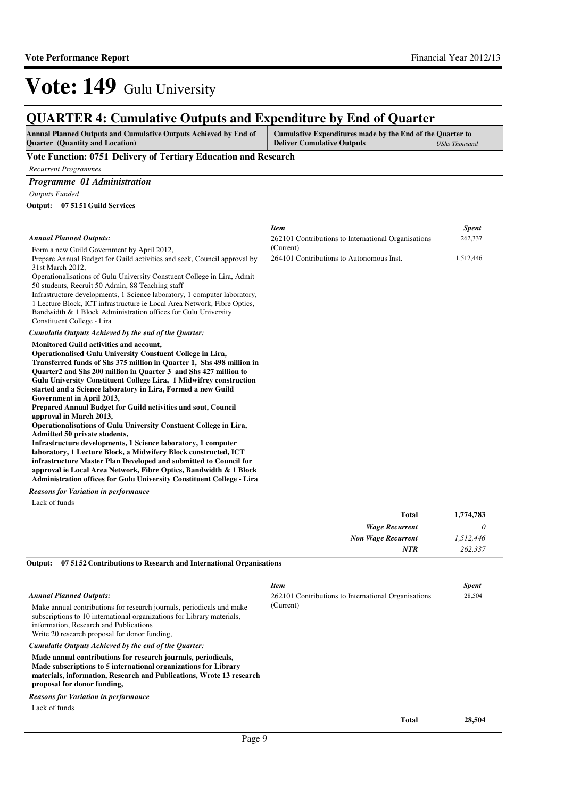262,337

### **QUARTER 4: Cumulative Outputs and Expenditure by End of Quarter**

| Annual Planned Outputs and Cumulative Outputs Achieved by End of | Cumulative Expenditures made by the End of the Quarter to |               |
|------------------------------------------------------------------|-----------------------------------------------------------|---------------|
| <b>Ouarter</b> (Quantity and Location)                           | <b>Deliver Cumulative Outputs</b>                         | UShs Thousand |

(Current)

#### **Vote Function: 0751 Delivery of Tertiary Education and Research**

*Recurrent Programmes*

*Programme 01 Administration*

*Outputs Funded*

**07 5151 Guild Services Output:**

| <b>Annual Planned Outputs:</b> |  |
|--------------------------------|--|
|--------------------------------|--|

| Form a new Guild Government by April 2012,                               |
|--------------------------------------------------------------------------|
| Prepare Annual Budget for Guild activities and seek, Council approval by |
| 31st March 2012.                                                         |

Operationalisations of Gulu University Constuent College in Lira, Admit 50 students, Recruit 50 Admin, 88 Teaching staff

Infrastructure developments, 1 Science laboratory, 1 computer laboratory, 1 Lecture Block, ICT infrastructure ie Local Area Network, Fibre Optics,

Bandwidth & 1 Block Administration offices for Gulu University

Constituent College - Lira

*Cumulatie Outputs Achieved by the end of the Quarter:*

#### **Monitored Guild activities and account,**

**Operationalised Gulu University Constuent College in Lira, Transferred funds of Shs 375 million in Quarter 1, Shs 498 million in Quarter2 and Shs 200 million in Quarter 3 and Shs 427 million to Gulu University Constituent College Lira, 1 Midwifrey construction started and a Science laboratory in Lira, Formed a new Guild Government in April 2013,**

**Prepared Annual Budget for Guild activities and sout, Council approval in March 2013,**

**Operationalisations of Gulu University Constuent College in Lira, Admitted 50 private students,**

**Infrastructure developments, 1 Science laboratory, 1 computer laboratory, 1 Lecture Block, a Midwifery Block constructed, ICT infrastructure Master Plan Developed and submitted to Council for approval ie Local Area Network, Fibre Optics, Bandwidth & 1 Block Administration offices for Gulu University Constituent College - Lira**

*Reasons for Variation in performance*

Lack of funds

|   | 1,774,783 | Total                     |
|---|-----------|---------------------------|
| υ |           | <b>Wage Recurrent</b>     |
|   | 1,512,446 | <b>Non Wage Recurrent</b> |
|   | 262,337   | <b>NTR</b>                |
|   |           |                           |

**07 5152 Contributions to Research and International Organisations Output:**

|  | <b>Annual Planned Outputs:</b> |  |
|--|--------------------------------|--|
|--|--------------------------------|--|

Make annual contributions for research journals, periodicals and make subscriptions to 10 international organizations for Library materials, information, Research and Publications Write 20 research proposal for donor funding,

*Cumulatie Outputs Achieved by the end of the Quarter:*

**Made annual contributions for research journals, periodicals,**

**Made subscriptions to 5 international organizations for Library materials, information, Research and Publications, Wrote 13 research** 

**proposal for donor funding,**

*Reasons for Variation in performance*

Lack of funds

*Item Spent* 262101 Contributions to International Organisations (Current) 28,504

*Item Spent*

264101 Contributions to Autonomous Inst. 1,512,446

262101 Contributions to International Organisations

**Total 28,504**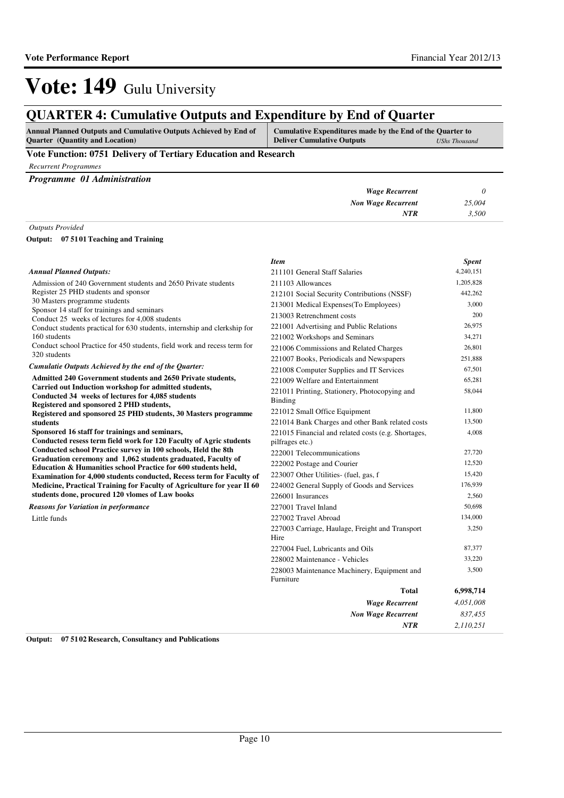## **QUARTER 4: Cumulative Outputs and Expenditure by End of Quarter**

| <b>Annual Planned Outputs and Cumulative Outputs Achieved by End of</b> | Cumulative Expenditures made by the End of the Quarter to |                      |
|-------------------------------------------------------------------------|-----------------------------------------------------------|----------------------|
| <b>Quarter</b> (Quantity and Location)                                  | <b>Deliver Cumulative Outputs</b>                         | <b>UShs Thousand</b> |

### **Vote Function: 0751 Delivery of Tertiary Education and Research**

*Recurrent Programmes*

|  |  | Programme 01 Administration |
|--|--|-----------------------------|
|--|--|-----------------------------|

| <b>Wage Recurrent</b>     |        |
|---------------------------|--------|
| <b>Non Wage Recurrent</b> | 25,004 |
| NTR                       | 3,500  |
|                           |        |

*Outputs Provided*

#### **07 5101 Teaching and Training Output:**

|                                                                                                                               | <b>Item</b>                                              | <b>Spent</b> |
|-------------------------------------------------------------------------------------------------------------------------------|----------------------------------------------------------|--------------|
| <b>Annual Planned Outputs:</b>                                                                                                | 211101 General Staff Salaries                            | 4,240,151    |
| Admission of 240 Government students and 2650 Private students                                                                | 211103 Allowances                                        | 1,205,828    |
| Register 25 PHD students and sponsor                                                                                          | 212101 Social Security Contributions (NSSF)              | 442,262      |
| 30 Masters programme students                                                                                                 | 213001 Medical Expenses (To Employees)                   | 3.000        |
| Sponsor 14 staff for trainings and seminars<br>Conduct 25 weeks of lectures for 4,008 students                                | 213003 Retrenchment costs                                | 200          |
| Conduct students practical for 630 students, internship and clerkship for                                                     | 221001 Advertising and Public Relations                  | 26,975       |
| 160 students                                                                                                                  | 221002 Workshops and Seminars                            | 34,271       |
| Conduct school Practice for 450 students, field work and recess term for                                                      | 221006 Commissions and Related Charges                   | 26,801       |
| 320 students                                                                                                                  | 221007 Books, Periodicals and Newspapers                 | 251,888      |
| Cumulatie Outputs Achieved by the end of the Quarter:                                                                         | 221008 Computer Supplies and IT Services                 | 67,501       |
| Admitted 240 Government students and 2650 Private students,                                                                   | 221009 Welfare and Entertainment                         | 65,281       |
| Carried out Induction workshop for admitted students,                                                                         | 221011 Printing, Stationery, Photocopying and            | 58,044       |
| Conducted 34 weeks of lectures for 4,085 students<br>Registered and sponsored 2 PHD students,                                 | Binding                                                  |              |
| Registered and sponsored 25 PHD students, 30 Masters programme                                                                | 221012 Small Office Equipment                            | 11,800       |
| students                                                                                                                      | 221014 Bank Charges and other Bank related costs         | 13,500       |
| Sponsored 16 staff for trainings and seminars,                                                                                | 221015 Financial and related costs (e.g. Shortages,      | 4,008        |
| Conducted resess term field work for 120 Faculty of Agric students                                                            | pilfrages etc.)                                          |              |
| Conducted school Practice survey in 100 schools, Held the 8th<br>Graduation ceremony and 1,062 students graduated, Faculty of | 222001 Telecommunications                                | 27,720       |
| Education & Humanities school Practice for 600 students held,                                                                 | 222002 Postage and Courier                               | 12,520       |
| Examination for 4,000 students conducted, Recess term for Faculty of                                                          | 223007 Other Utilities- (fuel, gas, f                    | 15,420       |
| Medicine, Practical Training for Faculty of Agriculture for year II 60                                                        | 224002 General Supply of Goods and Services              | 176,939      |
| students done, procured 120 vlomes of Law books                                                                               | 226001 Insurances                                        | 2,560        |
| <b>Reasons for Variation in performance</b>                                                                                   | 227001 Travel Inland                                     | 50,698       |
| Little funds                                                                                                                  | 227002 Travel Abroad                                     | 134,000      |
|                                                                                                                               | 227003 Carriage, Haulage, Freight and Transport<br>Hire  | 3,250        |
|                                                                                                                               | 227004 Fuel, Lubricants and Oils                         | 87,377       |
|                                                                                                                               | 228002 Maintenance - Vehicles                            | 33,220       |
|                                                                                                                               | 228003 Maintenance Machinery, Equipment and<br>Furniture | 3,500        |
|                                                                                                                               | Total                                                    | 6,998,714    |
|                                                                                                                               | <b>Wage Recurrent</b>                                    | 4,051,008    |
|                                                                                                                               | <b>Non Wage Recurrent</b>                                | 837.455      |
|                                                                                                                               |                                                          |              |

**Output: 07 5102 Research, Consultancy and Publications**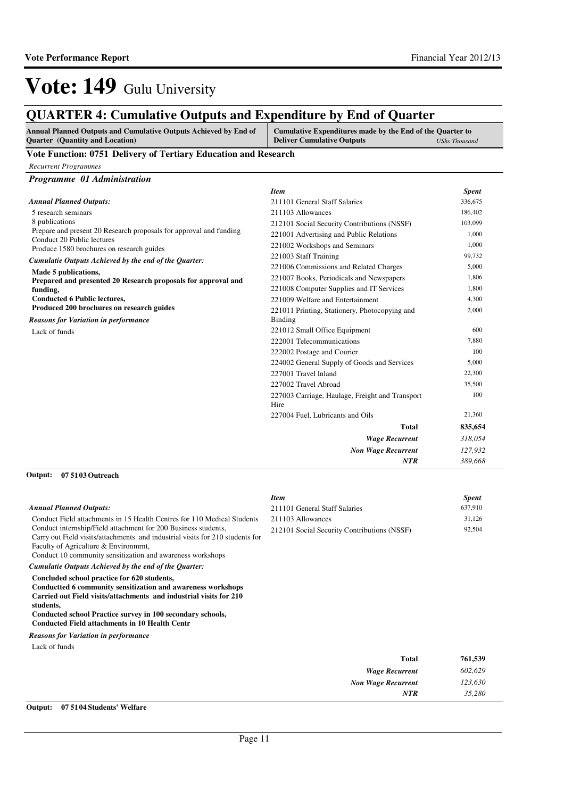*35,280*

*NTR*

*Item Spent*

# Vote: 149 Gulu University

## **QUARTER 4: Cumulative Outputs and Expenditure by End of Quarter**

| Annual Planned Outputs and Cumulative Outputs Achieved by End of | Cumulative Expenditures made by the End of the Quarter to |               |
|------------------------------------------------------------------|-----------------------------------------------------------|---------------|
| <b>Quarter</b> (Quantity and Location)                           | <b>Deliver Cumulative Outputs</b>                         | UShs Thousand |

#### **Vote Function: 0751 Delivery of Tertiary Education and Research**

*Programme 01 Administration*

|                                                                         | <b>Item</b>                                             | <b>Spent</b> |
|-------------------------------------------------------------------------|---------------------------------------------------------|--------------|
| <b>Annual Planned Outputs:</b>                                          | 211101 General Staff Salaries                           | 336,675      |
| 5 research seminars                                                     | 211103 Allowances                                       | 186,402      |
| 8 publications                                                          | 212101 Social Security Contributions (NSSF)             | 103,099      |
| Prepare and present 20 Research proposals for approval and funding      | 221001 Advertising and Public Relations                 | 1,000        |
| Conduct 20 Public lectures<br>Produce 1580 brochures on research guides | 221002 Workshops and Seminars                           | 1,000        |
| Cumulatie Outputs Achieved by the end of the Quarter:                   | 221003 Staff Training                                   | 99,732       |
| Made 5 publications,                                                    | 221006 Commissions and Related Charges                  | 5,000        |
| Prepared and presented 20 Research proposals for approval and           | 221007 Books, Periodicals and Newspapers                | 1,806        |
| funding,                                                                | 221008 Computer Supplies and IT Services                | 1,800        |
| <b>Conducted 6 Public lectures,</b>                                     | 221009 Welfare and Entertainment                        | 4,300        |
| Produced 200 brochures on research guides                               | 221011 Printing, Stationery, Photocopying and           | 2,000        |
| <b>Reasons for Variation in performance</b>                             | <b>Binding</b>                                          |              |
| Lack of funds                                                           | 221012 Small Office Equipment                           | 600          |
|                                                                         | 222001 Telecommunications                               | 7,880        |
|                                                                         | 222002 Postage and Courier                              | 100          |
|                                                                         | 224002 General Supply of Goods and Services             | 5,000        |
|                                                                         | 227001 Travel Inland                                    | 22,300       |
|                                                                         | 227002 Travel Abroad                                    | 35,500       |
|                                                                         | 227003 Carriage, Haulage, Freight and Transport<br>Hire | 100          |
|                                                                         | 227004 Fuel, Lubricants and Oils                        | 21,360       |
|                                                                         | <b>Total</b>                                            | 835,654      |
|                                                                         | <b>Wage Recurrent</b>                                   | 318,054      |
|                                                                         | <b>Non Wage Recurrent</b>                               | 127,932      |
|                                                                         | <b>NTR</b>                                              | 389,668      |

#### **07 5103 Outreach Output:**

**Output: 07 5104 Students' Welfare**

| <b>Annual Planned Outputs:</b>                                                                                                                                                                                                                                                                                        | 211101 General Staff Salaries               | 637,910 |
|-----------------------------------------------------------------------------------------------------------------------------------------------------------------------------------------------------------------------------------------------------------------------------------------------------------------------|---------------------------------------------|---------|
| Conduct Field attachments in 15 Health Centres for 110 Medical Students                                                                                                                                                                                                                                               | 211103 Allowances                           | 31,126  |
| Conduct internship/Field attachment for 200 Business students,<br>Carry out Field visits/attachments and industrial visits for 210 students for<br>Faculty of Agricalture & Environment,<br>Conduct 10 community sensitization and awareness workshops                                                                | 212101 Social Security Contributions (NSSF) | 92,504  |
| Cumulatie Outputs Achieved by the end of the Quarter:                                                                                                                                                                                                                                                                 |                                             |         |
| Concluded school practice for 620 students,<br>Conductted 6 community sensitization and awareness workshops<br>Carried out Field visits/attachments and industrial visits for 210<br>students,<br>Conducted school Practice survey in 100 secondary schools,<br><b>Conducted Field attachments in 10 Health Centr</b> |                                             |         |
| <b>Reasons for Variation in performance</b>                                                                                                                                                                                                                                                                           |                                             |         |
| Lack of funds                                                                                                                                                                                                                                                                                                         |                                             |         |
|                                                                                                                                                                                                                                                                                                                       | Total                                       | 761,539 |
|                                                                                                                                                                                                                                                                                                                       | <b>Wage Recurrent</b>                       | 602,629 |
|                                                                                                                                                                                                                                                                                                                       | <b>Non Wage Recurrent</b>                   | 123,630 |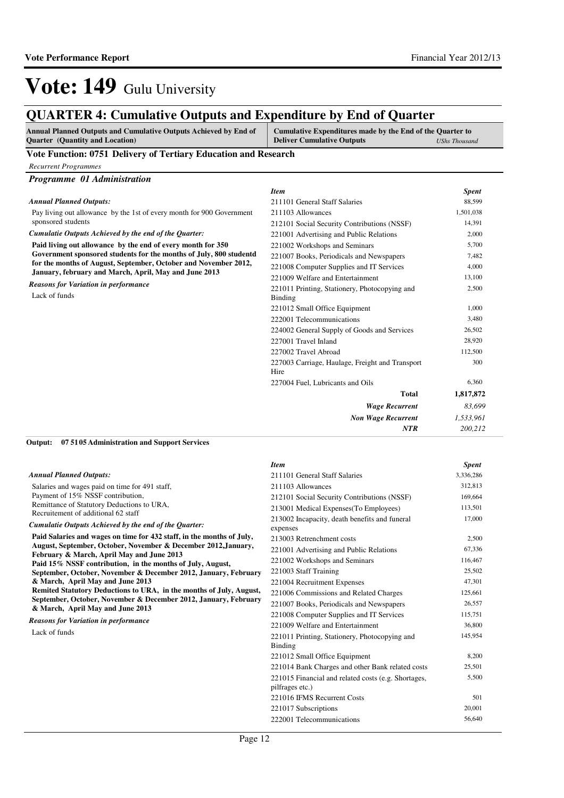*200,212*

*NTR*

# Vote: 149 Gulu University

## **QUARTER 4: Cumulative Outputs and Expenditure by End of Quarter**

| <b>Annual Planned Outputs and Cumulative Outputs Achieved by End of</b> | Cumulative Expenditures made by the End of the Quarter to |               |
|-------------------------------------------------------------------------|-----------------------------------------------------------|---------------|
| <b>Ouarter</b> (Quantity and Location)                                  | <b>Deliver Cumulative Outputs</b>                         | UShs Thousand |

### **Vote Function: 0751 Delivery of Tertiary Education and Research**

*Programme 01 Administration*

|                                                                       | <b>Item</b>                                     | <b>Spent</b> |
|-----------------------------------------------------------------------|-------------------------------------------------|--------------|
| Annual Planned Outputs:                                               | 211101 General Staff Salaries                   | 88,599       |
| Pay living out allowance by the 1st of every month for 900 Government | 211103 Allowances                               | 1,501,038    |
| sponsored students                                                    | 212101 Social Security Contributions (NSSF)     | 14,391       |
| Cumulatie Outputs Achieved by the end of the Quarter:                 | 221001 Advertising and Public Relations         | 2,000        |
| Paid living out allowance by the end of every month for 350           | 221002 Workshops and Seminars                   | 5,700        |
| Government sponsored students for the months of July, 800 studentd    | 221007 Books, Periodicals and Newspapers        | 7,482        |
| for the months of August, September, October and November 2012,       | 221008 Computer Supplies and IT Services        | 4,000        |
| January, february and March, April, May and June 2013                 | 221009 Welfare and Entertainment                | 13,100       |
| <b>Reasons for Variation in performance</b>                           | 221011 Printing, Stationery, Photocopying and   | 2,500        |
| Lack of funds                                                         | Binding                                         |              |
|                                                                       | 221012 Small Office Equipment                   | 1,000        |
|                                                                       | 222001 Telecommunications                       | 3,480        |
|                                                                       | 224002 General Supply of Goods and Services     | 26,502       |
|                                                                       | 227001 Travel Inland                            | 28,920       |
|                                                                       | 227002 Travel Abroad                            | 112,500      |
|                                                                       | 227003 Carriage, Haulage, Freight and Transport | 300          |
|                                                                       | Hire                                            |              |
|                                                                       | 227004 Fuel, Lubricants and Oils                | 6,360        |
|                                                                       | <b>Total</b>                                    | 1,817,872    |
|                                                                       | <b>Wage Recurrent</b>                           | 83,699       |
|                                                                       | <b>Non Wage Recurrent</b>                       | 1,533,961    |

**07 5105 Administration and Support Services Output:**

|                                                                                                         | <b>Item</b>                                                            | <b>Spent</b> |
|---------------------------------------------------------------------------------------------------------|------------------------------------------------------------------------|--------------|
| <b>Annual Planned Outputs:</b>                                                                          | 211101 General Staff Salaries                                          | 3,336,286    |
| Salaries and wages paid on time for 491 staff,                                                          | 211103 Allowances                                                      | 312,813      |
| Payment of 15% NSSF contribution,                                                                       | 212101 Social Security Contributions (NSSF)                            | 169,664      |
| Remittance of Statutory Deductions to URA,<br>Recruitement of additional 62 staff                       | 213001 Medical Expenses (To Employees)                                 | 113,501      |
| Cumulatie Outputs Achieved by the end of the Ouarter:                                                   | 213002 Incapacity, death benefits and funeral<br>expenses              | 17,000       |
| Paid Salaries and wages on time for 432 staff, in the months of July,                                   | 213003 Retrenchment costs                                              | 2,500        |
| August, September, October, November & December 2012, January,                                          | 221001 Advertising and Public Relations                                | 67,336       |
| February & March, April May and June 2013<br>Paid 15% NSSF contribution, in the months of July, August, | 221002 Workshops and Seminars                                          | 116,467      |
| September, October, November & December 2012, January, February                                         | 221003 Staff Training                                                  | 25,502       |
| & March, April May and June 2013                                                                        | 221004 Recruitment Expenses                                            | 47,301       |
| Remited Statutory Deductions to URA, in the months of July, August,                                     | 221006 Commissions and Related Charges                                 | 125,661      |
| September, October, November & December 2012, January, February<br>& March, April May and June 2013     | 221007 Books, Periodicals and Newspapers                               | 26,557       |
| <b>Reasons for Variation in performance</b>                                                             | 221008 Computer Supplies and IT Services                               | 115,751      |
| Lack of funds                                                                                           | 221009 Welfare and Entertainment                                       | 36,800       |
|                                                                                                         | 221011 Printing, Stationery, Photocopying and<br>Binding               | 145,954      |
|                                                                                                         | 221012 Small Office Equipment                                          | 8,200        |
|                                                                                                         | 221014 Bank Charges and other Bank related costs                       | 25,501       |
|                                                                                                         | 221015 Financial and related costs (e.g. Shortages,<br>pilfrages etc.) | 5,500        |
|                                                                                                         | 221016 IFMS Recurrent Costs                                            | 501          |
|                                                                                                         | 221017 Subscriptions                                                   | 20,001       |
|                                                                                                         | 222001 Telecommunications                                              | 56,640       |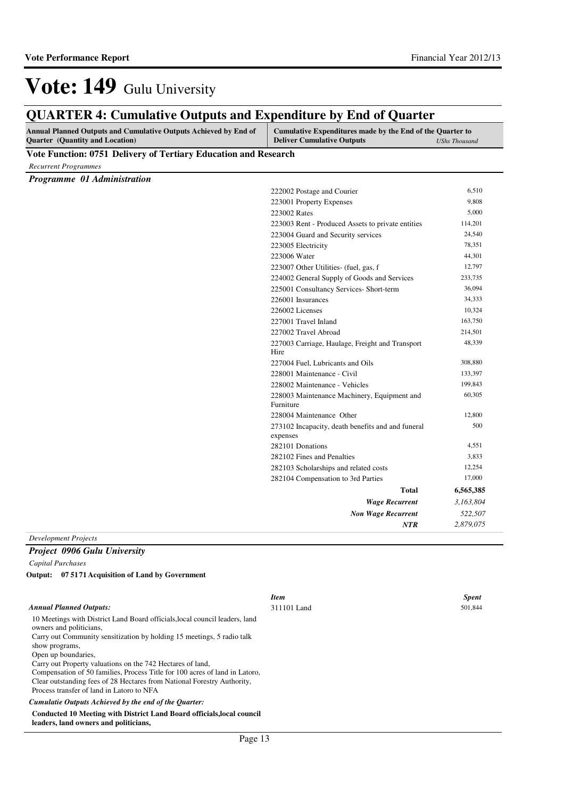#### **QUARTER 4: Cumulative Outputs and Expenditure by End of Quarter Annual Planned Outputs and Cumulative Outputs Achieved by End of Quarter (Quantity and Location) Cumulative Expenditures made by the End of the Quarter to Deliver Cumulative Outputs** *UShs Thousand* **Vote Function: 0751 Delivery of Tertiary Education and Research** *Recurrent Programmes Programme 01 Administration Wage Recurrent Non Wage Recurrent* **Total** *3,163,804 522,507 2,879,075* **6,565,385** *NTR* 222002 Postage and Courier 6,510 223001 Property Expenses 9,808 223002 Rates 5,000 223003 Rent - Produced Assets to private entities 114,201 223004 Guard and Security services 24,540 223005 Electricity 78,351 223006 Water 44,301 223007 Other Utilities- (fuel, gas, f 12,797 224002 General Supply of Goods and Services 233,735 225001 Consultancy Services- Short-term 36,094 226001 Insurances 34,333 226002 Licenses 10,324 227001 Travel Inland 163,750 227002 Travel Abroad 214,501 227003 Carriage, Haulage, Freight and Transport Hire 48,339 227004 Fuel, Lubricants and Oils 308,880 228001 Maintenance - Civil 133,397 228002 Maintenance - Vehicles 199,843 228003 Maintenance Machinery, Equipment and Furniture 60,305 228004 Maintenance Other 12,800 273102 Incapacity, death benefits and and funeral expenses 500 282101 Donations 4,551 282102 Fines and Penalties 3,833 282103 Scholarships and related costs 12,254 282104 Compensation to 3rd Parties 17,000

*Development Projects*

### *Project 0906 Gulu University*

*Capital Purchases*

**07 5171 Acquisition of Land by Government Output:**

### *Annual Planned Outputs:*

10 Meetings with District Land Board officials,local council leaders, land owners and politicians, Carry out Community sensitization by holding 15 meetings, 5 radio talk show programs, Open up boundaries, Carry out Property valuations on the 742 Hectares of land, Compensation of 50 families, Process Title for 100 acres of land in Latoro, Clear outstanding fees of 28 Hectares from National Forestry Authority, Process transfer of land in Latoro to NFA

*Cumulatie Outputs Achieved by the end of the Quarter:*

**Conducted 10 Meeting with District Land Board officials,local council leaders, land owners and politicians,**

#### *Item Spent* 311101 Land 501,844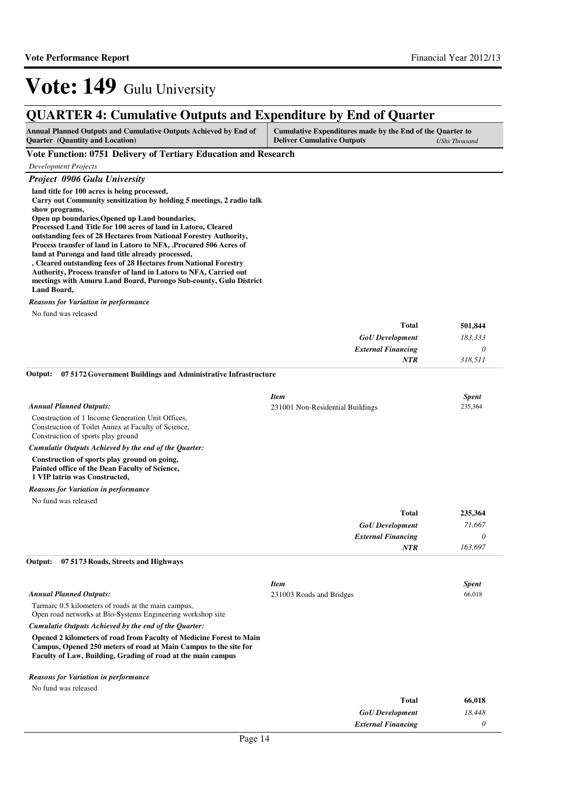## **QUARTER 4: Cumulative Outputs and Expenditure by End of Quarter**

| <b>Annual Planned Outputs and Cumulative Outputs Achieved by End of</b> | Cumulative Expenditures made by the End of the Quarter to |               |
|-------------------------------------------------------------------------|-----------------------------------------------------------|---------------|
| <b>Ouarter</b> (Quantity and Location)                                  | <b>Deliver Cumulative Outputs</b>                         | UShs Thousand |

| Vote Function: 0751 Delivery of Tertiary Education and Research                                                                                                                                                                                                |                                         |              |
|----------------------------------------------------------------------------------------------------------------------------------------------------------------------------------------------------------------------------------------------------------------|-----------------------------------------|--------------|
| <b>Development Projects</b>                                                                                                                                                                                                                                    |                                         |              |
| Project 0906 Gulu University                                                                                                                                                                                                                                   |                                         |              |
| land title for 100 acres is being processed,<br>Carry out Community sensitization by holding 5 meetings, 2 radio talk<br>show programs,<br>Open up boundaries, Opened up Land boundaries,<br>Processed Land Title for 100 acres of land in Latoro, Cleared     |                                         |              |
| outstanding fees of 28 Hectares from National Forestry Authority,<br>Process transfer of land in Latoro to NFA, Procured 506 Acres of<br>land at Puronga and land title already processed,<br>, Cleared outstanding fees of 28 Hectares from National Forestry |                                         |              |
| Authority, Process transfer of land in Latoro to NFA, Carried out<br>meetings with Amuru Land Board, Purongo Sub-county, Gulu District<br>Land Board,                                                                                                          |                                         |              |
| <b>Reasons for Variation in performance</b>                                                                                                                                                                                                                    |                                         |              |
| No fund was released                                                                                                                                                                                                                                           |                                         |              |
|                                                                                                                                                                                                                                                                | <b>Total</b>                            | 501,844      |
|                                                                                                                                                                                                                                                                | <b>GoU</b> Development                  | 183,333      |
|                                                                                                                                                                                                                                                                | <b>External Financing</b><br><b>NTR</b> | 0<br>318,511 |
| 07 51 72 Government Buildings and Administrative Infrastructure<br>Output:                                                                                                                                                                                     |                                         |              |
|                                                                                                                                                                                                                                                                |                                         |              |
|                                                                                                                                                                                                                                                                | <b>Item</b>                             | <b>Spent</b> |
| <b>Annual Planned Outputs:</b>                                                                                                                                                                                                                                 | 231001 Non-Residential Buildings        | 235,364      |
| Construction of 1 Income Generation Unit Offices,<br>Construction of Toilet Annex at Faculty of Science,<br>Construction of sports play ground                                                                                                                 |                                         |              |
| Cumulatie Outputs Achieved by the end of the Quarter:                                                                                                                                                                                                          |                                         |              |
| Construction of sports play ground on going,<br>Painted office of the Dean Faculty of Science,<br>1 VIP latrin was Constructed,                                                                                                                                |                                         |              |
| <b>Reasons for Variation in performance</b>                                                                                                                                                                                                                    |                                         |              |
| No fund was released                                                                                                                                                                                                                                           |                                         |              |
|                                                                                                                                                                                                                                                                | <b>Total</b>                            | 235,364      |
|                                                                                                                                                                                                                                                                | <b>GoU</b> Development                  | 71,667       |
|                                                                                                                                                                                                                                                                | <b>External Financing</b>               | 0            |
|                                                                                                                                                                                                                                                                | <b>NTR</b>                              | 163,697      |
| Output:<br>07 51 73 Roads, Streets and Highways                                                                                                                                                                                                                |                                         |              |
|                                                                                                                                                                                                                                                                | <b>Item</b>                             | <b>Spent</b> |
| <b>Annual Planned Outputs:</b>                                                                                                                                                                                                                                 | 231003 Roads and Bridges                | 66,018       |
| Tarmarc 0.5 kilometers of roads at the main campus,<br>Open road networks at Bio-Systems Engineering workshop site                                                                                                                                             |                                         |              |
| Cumulatie Outputs Achieved by the end of the Quarter:                                                                                                                                                                                                          |                                         |              |
| Opened 2 kilometers of road from Faculty of Medicine Forest to Main<br>Campus, Opened 250 meters of road at Main Campus to the site for<br>Faculty of Law, Building, Grading of road at the main campus                                                        |                                         |              |
| <b>Reasons for Variation in performance</b>                                                                                                                                                                                                                    |                                         |              |
| No fund was released                                                                                                                                                                                                                                           |                                         |              |
|                                                                                                                                                                                                                                                                | <b>Total</b>                            | 66,018       |
|                                                                                                                                                                                                                                                                | <b>GoU</b> Development                  | 18,448       |

*External Financing*

*0*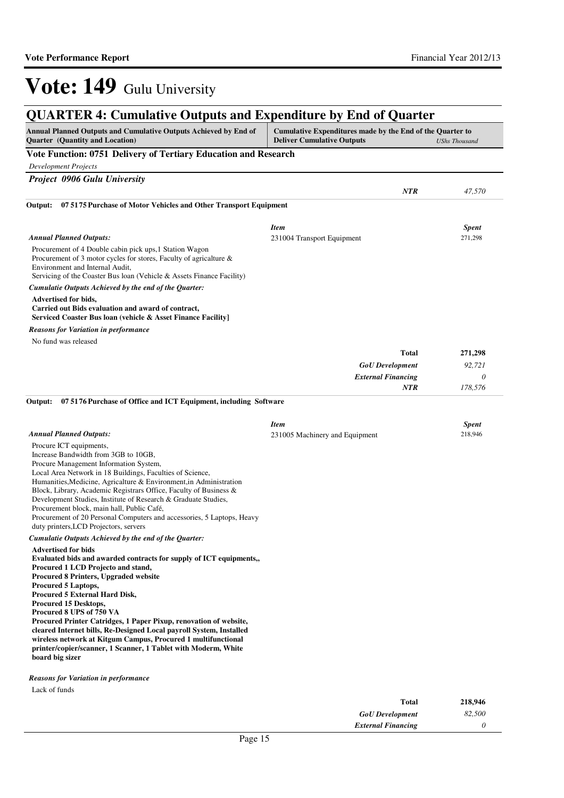| Vote Function: 0751 Delivery of Tertiary Education and Research<br><b>Development Projects</b><br><b>Project 0906 Gulu University</b><br>NTR<br>07 5175 Purchase of Motor Vehicles and Other Transport Equipment<br>Output:<br><b>Item</b><br><b>Spent</b><br><b>Annual Planned Outputs:</b><br>271,298<br>231004 Transport Equipment<br>Procurement of 4 Double cabin pick ups, 1 Station Wagon<br>Procurement of 3 motor cycles for stores, Faculty of agricalture &<br>Environment and Internal Audit,<br>Servicing of the Coaster Bus loan (Vehicle & Assets Finance Facility)<br>Cumulatie Outputs Achieved by the end of the Quarter:<br>Advertised for bids,<br>Carried out Bids evaluation and award of contract,<br>Serviced Coaster Bus loan (vehicle & Asset Finance Facility]<br><b>Reasons for Variation in performance</b><br>No fund was released<br><b>Total</b><br><b>GoU</b> Development<br><b>External Financing</b><br>NTR<br>07 5176 Purchase of Office and ICT Equipment, including Software<br>Output:<br><b>Item</b><br><b>Spent</b><br><b>Annual Planned Outputs:</b><br>218,946<br>231005 Machinery and Equipment<br>Procure ICT equipments,<br>Increase Bandwidth from 3GB to 10GB,<br>Procure Management Information System,<br>Local Area Network in 18 Buildings, Faculties of Science,<br>Humanities, Medicine, Agricalture & Environment, in Administration<br>Block, Library, Academic Registrars Office, Faculty of Business &<br>Development Studies, Institute of Research & Graduate Studies,<br>Procurement block, main hall, Public Café,<br>Procurement of 20 Personal Computers and accessories, 5 Laptops, Heavy<br>duty printers, LCD Projectors, servers<br>Cumulatie Outputs Achieved by the end of the Quarter:<br><b>Advertised for bids</b><br>Evaluated bids and awarded contracts for supply of ICT equipments,,<br>Procured 1 LCD Projecto and stand,<br>Procured 8 Printers, Upgraded website<br>Procured 5 Laptops,<br>Procured 5 External Hard Disk,<br>Procured 15 Desktops,<br>Procured 8 UPS of 750 VA<br>Procured Printer Catridges, 1 Paper Pixup, renovation of website,<br>cleared Internet bills, Re-Designed Local payroll System, Installed<br>wireless network at Kitgum Campus, Procured 1 multifunctional<br>printer/copier/scanner, 1 Scanner, 1 Tablet with Moderm, White<br>board big sizer<br><b>Reasons for Variation in performance</b><br>Lack of funds | Annual Planned Outputs and Cumulative Outputs Achieved by End of<br><b>Quarter</b> (Quantity and Location) | Cumulative Expenditures made by the End of the Quarter to<br><b>Deliver Cumulative Outputs</b> | <b>UShs Thousand</b> |
|-----------------------------------------------------------------------------------------------------------------------------------------------------------------------------------------------------------------------------------------------------------------------------------------------------------------------------------------------------------------------------------------------------------------------------------------------------------------------------------------------------------------------------------------------------------------------------------------------------------------------------------------------------------------------------------------------------------------------------------------------------------------------------------------------------------------------------------------------------------------------------------------------------------------------------------------------------------------------------------------------------------------------------------------------------------------------------------------------------------------------------------------------------------------------------------------------------------------------------------------------------------------------------------------------------------------------------------------------------------------------------------------------------------------------------------------------------------------------------------------------------------------------------------------------------------------------------------------------------------------------------------------------------------------------------------------------------------------------------------------------------------------------------------------------------------------------------------------------------------------------------------------------------------------------------------------------------------------------------------------------------------------------------------------------------------------------------------------------------------------------------------------------------------------------------------------------------------------------------------------------------------------------------------------------------------------------------------------------------------------------------------------------------------------------------------|------------------------------------------------------------------------------------------------------------|------------------------------------------------------------------------------------------------|----------------------|
|                                                                                                                                                                                                                                                                                                                                                                                                                                                                                                                                                                                                                                                                                                                                                                                                                                                                                                                                                                                                                                                                                                                                                                                                                                                                                                                                                                                                                                                                                                                                                                                                                                                                                                                                                                                                                                                                                                                                                                                                                                                                                                                                                                                                                                                                                                                                                                                                                                   |                                                                                                            |                                                                                                |                      |
|                                                                                                                                                                                                                                                                                                                                                                                                                                                                                                                                                                                                                                                                                                                                                                                                                                                                                                                                                                                                                                                                                                                                                                                                                                                                                                                                                                                                                                                                                                                                                                                                                                                                                                                                                                                                                                                                                                                                                                                                                                                                                                                                                                                                                                                                                                                                                                                                                                   |                                                                                                            |                                                                                                |                      |
|                                                                                                                                                                                                                                                                                                                                                                                                                                                                                                                                                                                                                                                                                                                                                                                                                                                                                                                                                                                                                                                                                                                                                                                                                                                                                                                                                                                                                                                                                                                                                                                                                                                                                                                                                                                                                                                                                                                                                                                                                                                                                                                                                                                                                                                                                                                                                                                                                                   |                                                                                                            |                                                                                                |                      |
|                                                                                                                                                                                                                                                                                                                                                                                                                                                                                                                                                                                                                                                                                                                                                                                                                                                                                                                                                                                                                                                                                                                                                                                                                                                                                                                                                                                                                                                                                                                                                                                                                                                                                                                                                                                                                                                                                                                                                                                                                                                                                                                                                                                                                                                                                                                                                                                                                                   |                                                                                                            |                                                                                                | 47,570               |
|                                                                                                                                                                                                                                                                                                                                                                                                                                                                                                                                                                                                                                                                                                                                                                                                                                                                                                                                                                                                                                                                                                                                                                                                                                                                                                                                                                                                                                                                                                                                                                                                                                                                                                                                                                                                                                                                                                                                                                                                                                                                                                                                                                                                                                                                                                                                                                                                                                   |                                                                                                            |                                                                                                |                      |
|                                                                                                                                                                                                                                                                                                                                                                                                                                                                                                                                                                                                                                                                                                                                                                                                                                                                                                                                                                                                                                                                                                                                                                                                                                                                                                                                                                                                                                                                                                                                                                                                                                                                                                                                                                                                                                                                                                                                                                                                                                                                                                                                                                                                                                                                                                                                                                                                                                   |                                                                                                            |                                                                                                |                      |
|                                                                                                                                                                                                                                                                                                                                                                                                                                                                                                                                                                                                                                                                                                                                                                                                                                                                                                                                                                                                                                                                                                                                                                                                                                                                                                                                                                                                                                                                                                                                                                                                                                                                                                                                                                                                                                                                                                                                                                                                                                                                                                                                                                                                                                                                                                                                                                                                                                   |                                                                                                            |                                                                                                |                      |
|                                                                                                                                                                                                                                                                                                                                                                                                                                                                                                                                                                                                                                                                                                                                                                                                                                                                                                                                                                                                                                                                                                                                                                                                                                                                                                                                                                                                                                                                                                                                                                                                                                                                                                                                                                                                                                                                                                                                                                                                                                                                                                                                                                                                                                                                                                                                                                                                                                   |                                                                                                            |                                                                                                |                      |
|                                                                                                                                                                                                                                                                                                                                                                                                                                                                                                                                                                                                                                                                                                                                                                                                                                                                                                                                                                                                                                                                                                                                                                                                                                                                                                                                                                                                                                                                                                                                                                                                                                                                                                                                                                                                                                                                                                                                                                                                                                                                                                                                                                                                                                                                                                                                                                                                                                   |                                                                                                            |                                                                                                |                      |
|                                                                                                                                                                                                                                                                                                                                                                                                                                                                                                                                                                                                                                                                                                                                                                                                                                                                                                                                                                                                                                                                                                                                                                                                                                                                                                                                                                                                                                                                                                                                                                                                                                                                                                                                                                                                                                                                                                                                                                                                                                                                                                                                                                                                                                                                                                                                                                                                                                   |                                                                                                            |                                                                                                |                      |
|                                                                                                                                                                                                                                                                                                                                                                                                                                                                                                                                                                                                                                                                                                                                                                                                                                                                                                                                                                                                                                                                                                                                                                                                                                                                                                                                                                                                                                                                                                                                                                                                                                                                                                                                                                                                                                                                                                                                                                                                                                                                                                                                                                                                                                                                                                                                                                                                                                   |                                                                                                            |                                                                                                |                      |
|                                                                                                                                                                                                                                                                                                                                                                                                                                                                                                                                                                                                                                                                                                                                                                                                                                                                                                                                                                                                                                                                                                                                                                                                                                                                                                                                                                                                                                                                                                                                                                                                                                                                                                                                                                                                                                                                                                                                                                                                                                                                                                                                                                                                                                                                                                                                                                                                                                   |                                                                                                            |                                                                                                |                      |
|                                                                                                                                                                                                                                                                                                                                                                                                                                                                                                                                                                                                                                                                                                                                                                                                                                                                                                                                                                                                                                                                                                                                                                                                                                                                                                                                                                                                                                                                                                                                                                                                                                                                                                                                                                                                                                                                                                                                                                                                                                                                                                                                                                                                                                                                                                                                                                                                                                   |                                                                                                            |                                                                                                |                      |
|                                                                                                                                                                                                                                                                                                                                                                                                                                                                                                                                                                                                                                                                                                                                                                                                                                                                                                                                                                                                                                                                                                                                                                                                                                                                                                                                                                                                                                                                                                                                                                                                                                                                                                                                                                                                                                                                                                                                                                                                                                                                                                                                                                                                                                                                                                                                                                                                                                   |                                                                                                            |                                                                                                | 271,298              |
|                                                                                                                                                                                                                                                                                                                                                                                                                                                                                                                                                                                                                                                                                                                                                                                                                                                                                                                                                                                                                                                                                                                                                                                                                                                                                                                                                                                                                                                                                                                                                                                                                                                                                                                                                                                                                                                                                                                                                                                                                                                                                                                                                                                                                                                                                                                                                                                                                                   |                                                                                                            |                                                                                                | 92,721               |
|                                                                                                                                                                                                                                                                                                                                                                                                                                                                                                                                                                                                                                                                                                                                                                                                                                                                                                                                                                                                                                                                                                                                                                                                                                                                                                                                                                                                                                                                                                                                                                                                                                                                                                                                                                                                                                                                                                                                                                                                                                                                                                                                                                                                                                                                                                                                                                                                                                   |                                                                                                            |                                                                                                | $\theta$             |
|                                                                                                                                                                                                                                                                                                                                                                                                                                                                                                                                                                                                                                                                                                                                                                                                                                                                                                                                                                                                                                                                                                                                                                                                                                                                                                                                                                                                                                                                                                                                                                                                                                                                                                                                                                                                                                                                                                                                                                                                                                                                                                                                                                                                                                                                                                                                                                                                                                   |                                                                                                            |                                                                                                | 178,576              |
|                                                                                                                                                                                                                                                                                                                                                                                                                                                                                                                                                                                                                                                                                                                                                                                                                                                                                                                                                                                                                                                                                                                                                                                                                                                                                                                                                                                                                                                                                                                                                                                                                                                                                                                                                                                                                                                                                                                                                                                                                                                                                                                                                                                                                                                                                                                                                                                                                                   |                                                                                                            |                                                                                                |                      |
|                                                                                                                                                                                                                                                                                                                                                                                                                                                                                                                                                                                                                                                                                                                                                                                                                                                                                                                                                                                                                                                                                                                                                                                                                                                                                                                                                                                                                                                                                                                                                                                                                                                                                                                                                                                                                                                                                                                                                                                                                                                                                                                                                                                                                                                                                                                                                                                                                                   |                                                                                                            |                                                                                                |                      |
|                                                                                                                                                                                                                                                                                                                                                                                                                                                                                                                                                                                                                                                                                                                                                                                                                                                                                                                                                                                                                                                                                                                                                                                                                                                                                                                                                                                                                                                                                                                                                                                                                                                                                                                                                                                                                                                                                                                                                                                                                                                                                                                                                                                                                                                                                                                                                                                                                                   |                                                                                                            |                                                                                                |                      |
|                                                                                                                                                                                                                                                                                                                                                                                                                                                                                                                                                                                                                                                                                                                                                                                                                                                                                                                                                                                                                                                                                                                                                                                                                                                                                                                                                                                                                                                                                                                                                                                                                                                                                                                                                                                                                                                                                                                                                                                                                                                                                                                                                                                                                                                                                                                                                                                                                                   |                                                                                                            |                                                                                                |                      |
|                                                                                                                                                                                                                                                                                                                                                                                                                                                                                                                                                                                                                                                                                                                                                                                                                                                                                                                                                                                                                                                                                                                                                                                                                                                                                                                                                                                                                                                                                                                                                                                                                                                                                                                                                                                                                                                                                                                                                                                                                                                                                                                                                                                                                                                                                                                                                                                                                                   |                                                                                                            |                                                                                                |                      |
|                                                                                                                                                                                                                                                                                                                                                                                                                                                                                                                                                                                                                                                                                                                                                                                                                                                                                                                                                                                                                                                                                                                                                                                                                                                                                                                                                                                                                                                                                                                                                                                                                                                                                                                                                                                                                                                                                                                                                                                                                                                                                                                                                                                                                                                                                                                                                                                                                                   |                                                                                                            |                                                                                                |                      |
|                                                                                                                                                                                                                                                                                                                                                                                                                                                                                                                                                                                                                                                                                                                                                                                                                                                                                                                                                                                                                                                                                                                                                                                                                                                                                                                                                                                                                                                                                                                                                                                                                                                                                                                                                                                                                                                                                                                                                                                                                                                                                                                                                                                                                                                                                                                                                                                                                                   |                                                                                                            |                                                                                                |                      |
|                                                                                                                                                                                                                                                                                                                                                                                                                                                                                                                                                                                                                                                                                                                                                                                                                                                                                                                                                                                                                                                                                                                                                                                                                                                                                                                                                                                                                                                                                                                                                                                                                                                                                                                                                                                                                                                                                                                                                                                                                                                                                                                                                                                                                                                                                                                                                                                                                                   |                                                                                                            |                                                                                                |                      |

*GoU Development External Financing* *82,500 0*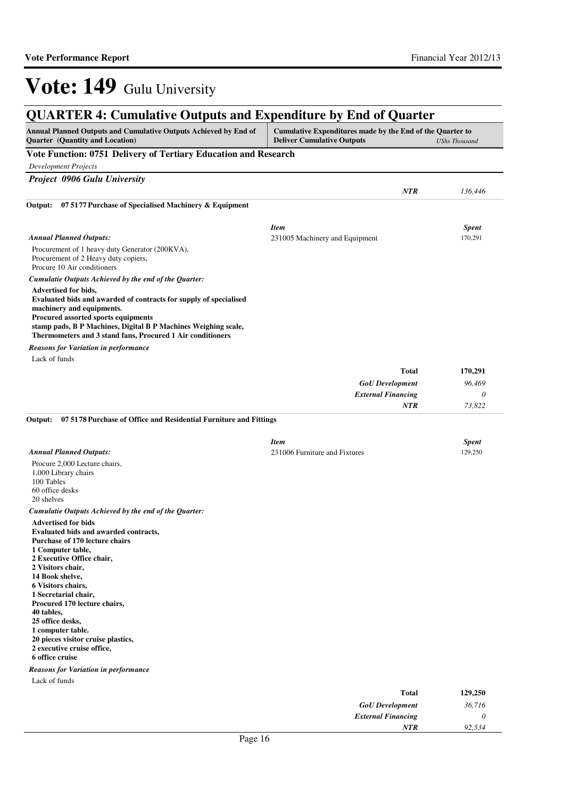| Annual Planned Outputs and Cumulative Outputs Achieved by End of<br><b>Quarter</b> (Quantity and Location)                                                                                                                                                                                                                                                                        | Cumulative Expenditures made by the End of the Quarter to<br><b>Deliver Cumulative Outputs</b> | <b>UShs Thousand</b> |
|-----------------------------------------------------------------------------------------------------------------------------------------------------------------------------------------------------------------------------------------------------------------------------------------------------------------------------------------------------------------------------------|------------------------------------------------------------------------------------------------|----------------------|
| Vote Function: 0751 Delivery of Tertiary Education and Research                                                                                                                                                                                                                                                                                                                   |                                                                                                |                      |
| <b>Development Projects</b>                                                                                                                                                                                                                                                                                                                                                       |                                                                                                |                      |
| Project 0906 Gulu University                                                                                                                                                                                                                                                                                                                                                      |                                                                                                |                      |
|                                                                                                                                                                                                                                                                                                                                                                                   | <b>NTR</b>                                                                                     | 136,446              |
| 07 51 77 Purchase of Specialised Machinery & Equipment<br>Output:                                                                                                                                                                                                                                                                                                                 |                                                                                                |                      |
|                                                                                                                                                                                                                                                                                                                                                                                   | <b>Item</b>                                                                                    | <b>Spent</b>         |
| <b>Annual Planned Outputs:</b>                                                                                                                                                                                                                                                                                                                                                    | 231005 Machinery and Equipment                                                                 | 170,291              |
| Procurement of 1 heavy duty Generator (200KVA),<br>Procurement of 2 Heavy duty copiers,<br>Procure 10 Air conditioners                                                                                                                                                                                                                                                            |                                                                                                |                      |
| Cumulatie Outputs Achieved by the end of the Quarter:                                                                                                                                                                                                                                                                                                                             |                                                                                                |                      |
| Advertised for bids,<br>Evaluated bids and awarded of contracts for supply of specialised<br>machinery and equipments.<br>Procured assorted sports equipments<br>stamp pads, B P Machines, Digital B P Machines Weighing scale,<br>Thermometers and 3 stand fans, Procured 1 Air conditioners                                                                                     |                                                                                                |                      |
| <b>Reasons for Variation in performance</b>                                                                                                                                                                                                                                                                                                                                       |                                                                                                |                      |
| Lack of funds                                                                                                                                                                                                                                                                                                                                                                     |                                                                                                |                      |
|                                                                                                                                                                                                                                                                                                                                                                                   | <b>Total</b>                                                                                   | 170,291              |
|                                                                                                                                                                                                                                                                                                                                                                                   | <b>GoU</b> Development                                                                         | 96,469               |
|                                                                                                                                                                                                                                                                                                                                                                                   | <b>External Financing</b><br>NTR                                                               | 0<br>73,822          |
| Output:<br>07 51 78 Purchase of Office and Residential Furniture and Fittings                                                                                                                                                                                                                                                                                                     | <b>Item</b>                                                                                    | <b>Spent</b>         |
| <b>Annual Planned Outputs:</b>                                                                                                                                                                                                                                                                                                                                                    | 231006 Furniture and Fixtures                                                                  | 129,250              |
| Procure 2,000 Lecture chairs,<br>1,000 Library chairs<br>100 Tables<br>60 office desks<br>20 shelves                                                                                                                                                                                                                                                                              |                                                                                                |                      |
| Cumulatie Outputs Achieved by the end of the Quarter:                                                                                                                                                                                                                                                                                                                             |                                                                                                |                      |
| <b>Advertised for bids</b><br><b>Evaluated bids and awarded contracts,</b><br>Purchase of 170 lecture chairs<br>1 Computer table,<br>2 Executive Office chair,<br>2 Visitors chair,<br>14 Book shelve,<br>6 Visitors chairs,<br>1 Secretarial chair,<br>Procured 170 lecture chairs,<br>40 tables,<br>25 office desks,<br>1 computer table.<br>20 pieces visitor cruise plastics, |                                                                                                |                      |
| 2 executive cruise office,<br>6 office cruise<br><b>Reasons for Variation in performance</b>                                                                                                                                                                                                                                                                                      |                                                                                                |                      |
| Lack of funds                                                                                                                                                                                                                                                                                                                                                                     | <b>Total</b>                                                                                   | 129,250              |

*External Financing*

*NTR*

*0 92,534*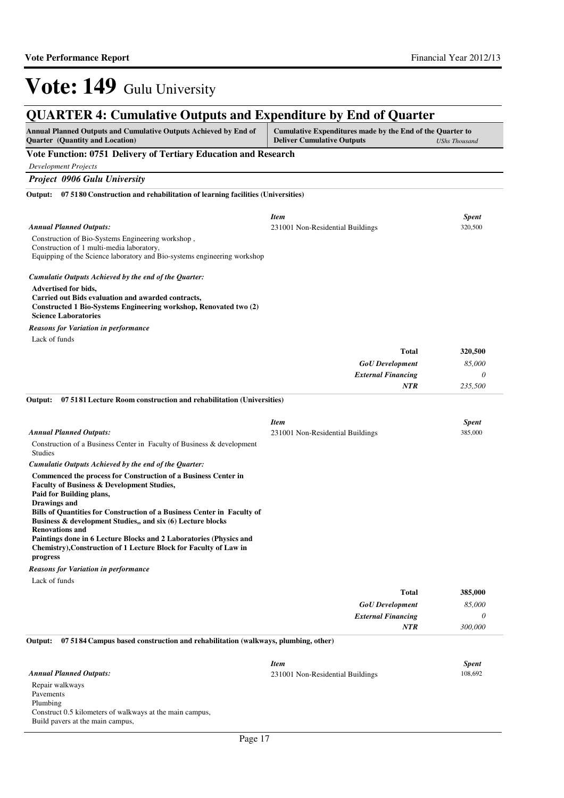| <b>QUARTER 4: Cumulative Outputs and Expenditure by End of Quarter</b>                                                                                                         |                                                                                                |                         |
|--------------------------------------------------------------------------------------------------------------------------------------------------------------------------------|------------------------------------------------------------------------------------------------|-------------------------|
| Annual Planned Outputs and Cumulative Outputs Achieved by End of<br><b>Quarter</b> (Quantity and Location)                                                                     | Cumulative Expenditures made by the End of the Quarter to<br><b>Deliver Cumulative Outputs</b> | <b>UShs Thousand</b>    |
| Vote Function: 0751 Delivery of Tertiary Education and Research                                                                                                                |                                                                                                |                         |
| <b>Development Projects</b>                                                                                                                                                    |                                                                                                |                         |
| <b>Project 0906 Gulu University</b>                                                                                                                                            |                                                                                                |                         |
| Output: 07 51 80 Construction and rehabilitation of learning facilities (Universities)                                                                                         |                                                                                                |                         |
| <b>Annual Planned Outputs:</b>                                                                                                                                                 | <b>Item</b><br>231001 Non-Residential Buildings                                                | <b>Spent</b><br>320,500 |
| Construction of Bio-Systems Engineering workshop,<br>Construction of 1 multi-media laboratory,<br>Equipping of the Science laboratory and Bio-systems engineering workshop     |                                                                                                |                         |
| Cumulatie Outputs Achieved by the end of the Quarter:                                                                                                                          |                                                                                                |                         |
| Advertised for bids,<br>Carried out Bids evaluation and awarded contracts,<br>Constructed 1 Bio-Systems Engineering workshop, Renovated two (2)<br><b>Science Laboratories</b> |                                                                                                |                         |
| <b>Reasons for Variation in performance</b>                                                                                                                                    |                                                                                                |                         |
| Lack of funds                                                                                                                                                                  |                                                                                                |                         |
|                                                                                                                                                                                | Total                                                                                          | 320,500                 |
|                                                                                                                                                                                | <b>GoU</b> Development                                                                         | 85,000                  |
|                                                                                                                                                                                | <b>External Financing</b>                                                                      | 0                       |
|                                                                                                                                                                                | <b>NTR</b>                                                                                     | 235,500                 |
| 07 51 81 Lecture Room construction and rehabilitation (Universities)<br>Output:                                                                                                |                                                                                                |                         |
|                                                                                                                                                                                | <b>Item</b>                                                                                    | <b>Spent</b>            |
| <b>Annual Planned Outputs:</b>                                                                                                                                                 | 231001 Non-Residential Buildings                                                               | 385,000                 |
| Construction of a Business Center in Faculty of Business & development<br><b>Studies</b>                                                                                       |                                                                                                |                         |
| Cumulatie Outputs Achieved by the end of the Quarter:                                                                                                                          |                                                                                                |                         |
| Commenced the process for Construction of a Business Center in<br>Faculty of Business & Development Studies,<br>Paid for Building plans,<br>Drawings and                       |                                                                                                |                         |
| Bills of Quantities for Construction of a Business Center in Faculty of<br>Business & development Studies,, and six (6) Lecture blocks                                         |                                                                                                |                         |
| Renovations and<br>Paintings done in 6 Lecture Blocks and 2 Laboratories (Physics and<br>Chemistry), Construction of 1 Lecture Block for Faculty of Law in                     |                                                                                                |                         |
| progress<br><b>Reasons for Variation in performance</b>                                                                                                                        |                                                                                                |                         |
| Lack of funds                                                                                                                                                                  |                                                                                                |                         |
|                                                                                                                                                                                | <b>Total</b>                                                                                   | 385,000                 |
|                                                                                                                                                                                | <b>GoU</b> Development                                                                         | 85,000                  |
|                                                                                                                                                                                | <b>External Financing</b>                                                                      | 0                       |
|                                                                                                                                                                                | NTR                                                                                            | 300,000                 |
| 07 5184 Campus based construction and rehabilitation (walkways, plumbing, other)<br>Output:                                                                                    |                                                                                                |                         |
|                                                                                                                                                                                | <b>Item</b>                                                                                    | <b>Spent</b>            |
| <b>Annual Planned Outputs:</b>                                                                                                                                                 | 231001 Non-Residential Buildings                                                               | 108,692                 |
| Repair walkways<br>Pavements<br>Plumbing                                                                                                                                       |                                                                                                |                         |
| Construct 0.5 kilometers of walkways at the main campus,                                                                                                                       |                                                                                                |                         |

Build pavers at the main campus,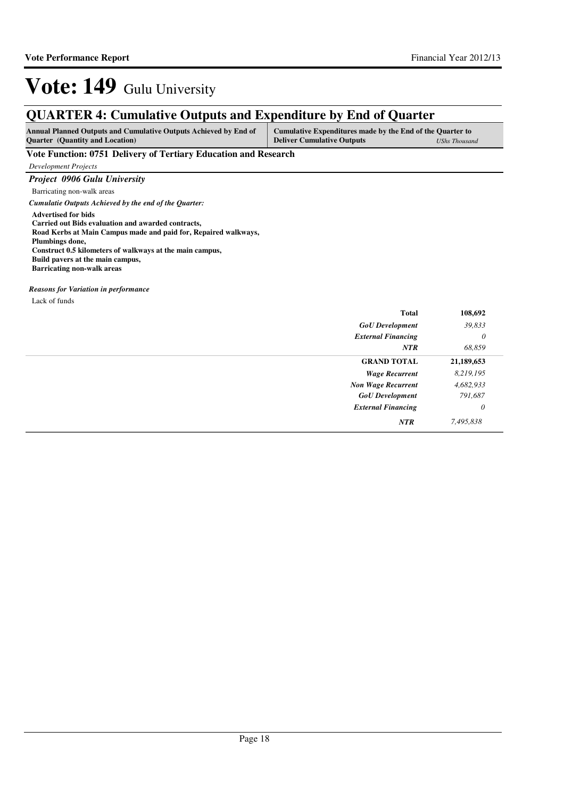## **QUARTER 4: Cumulative Outputs and Expenditure by End of Quarter**

| <b>Annual Planned Outputs and Cumulative Outputs Achieved by End of</b> | Cumulative Expenditures made by the End of the Quarter to |               |
|-------------------------------------------------------------------------|-----------------------------------------------------------|---------------|
| <b>Ouarter</b> (Quantity and Location)                                  | <b>Deliver Cumulative Outputs</b>                         | UShs Thousand |

### **Vote Function: 0751 Delivery of Tertiary Education and Research**

*Development Projects*

*Project 0906 Gulu University*

Barricating non-walk areas *Cumulatie Outputs Achieved by the end of the Quarter:*

**Advertised for bids Carried out Bids evaluation and awarded contracts, Road Kerbs at Main Campus made and paid for, Repaired walkways, Plumbings done, Construct 0.5 kilometers of walkways at the main campus,**

**Build pavers at the main campus, Barricating non-walk areas**

*Reasons for Variation in performance*

Lack of funds

| <b>Total</b>              | 108,692    |
|---------------------------|------------|
| <b>GoU</b> Development    | 39,833     |
| <b>External Financing</b> | $\theta$   |
| <b>NTR</b>                | 68,859     |
| <b>GRAND TOTAL</b>        | 21,189,653 |
| <b>Wage Recurrent</b>     | 8,219,195  |
| <b>Non Wage Recurrent</b> | 4,682,933  |
| <b>GoU</b> Development    | 791,687    |
| <b>External Financing</b> | $\theta$   |
| <b>NTR</b>                | 7,495,838  |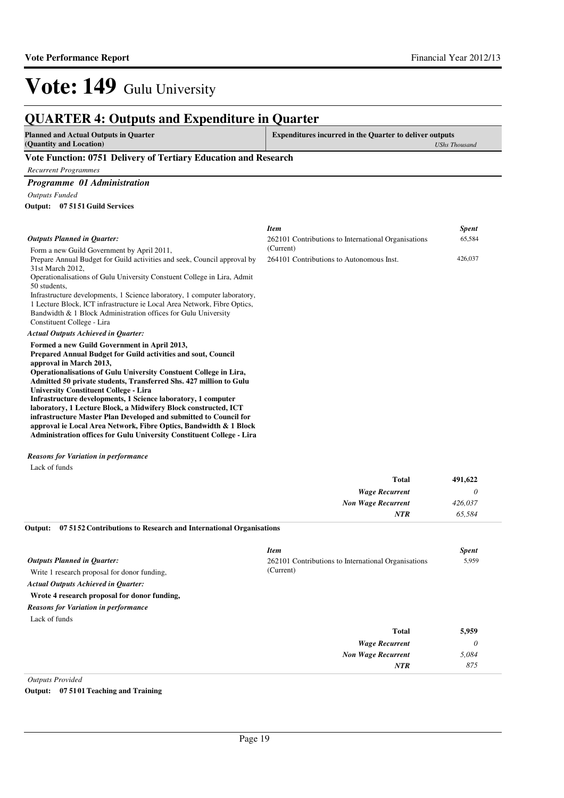| <b>QUARTER 4: Outputs and Expenditure in Quarter</b>                                                                                    |                                                                |                      |
|-----------------------------------------------------------------------------------------------------------------------------------------|----------------------------------------------------------------|----------------------|
| <b>Planned and Actual Outputs in Quarter</b><br>(Quantity and Location)                                                                 | <b>Expenditures incurred in the Quarter to deliver outputs</b> | <b>UShs Thousand</b> |
| Vote Function: 0751 Delivery of Tertiary Education and Research                                                                         |                                                                |                      |
| <b>Recurrent Programmes</b>                                                                                                             |                                                                |                      |
| Programme 01 Administration                                                                                                             |                                                                |                      |
| <b>Outputs Funded</b>                                                                                                                   |                                                                |                      |
| Output: 07 51 51 Guild Services                                                                                                         |                                                                |                      |
|                                                                                                                                         | <b>Item</b>                                                    | <b>Spent</b>         |
| <b>Outputs Planned in Ouarter:</b>                                                                                                      | 262101 Contributions to International Organisations            | 65,584               |
| Form a new Guild Government by April 2011,                                                                                              | (Current)                                                      |                      |
| Prepare Annual Budget for Guild activities and seek, Council approval by                                                                | 264101 Contributions to Autonomous Inst.                       | 426,037              |
| 31st March 2012.                                                                                                                        |                                                                |                      |
| Operationalisations of Gulu University Constuent College in Lira, Admit<br>50 students.                                                 |                                                                |                      |
| Infrastructure developments, 1 Science laboratory, 1 computer laboratory,                                                               |                                                                |                      |
| 1 Lecture Block, ICT infrastructure ie Local Area Network, Fibre Optics,                                                                |                                                                |                      |
| Bandwidth & 1 Block Administration offices for Gulu University                                                                          |                                                                |                      |
| Constituent College - Lira                                                                                                              |                                                                |                      |
| <b>Actual Outputs Achieved in Quarter:</b>                                                                                              |                                                                |                      |
| Formed a new Guild Government in April 2013,                                                                                            |                                                                |                      |
| Prepared Annual Budget for Guild activities and sout, Council                                                                           |                                                                |                      |
| approval in March 2013,                                                                                                                 |                                                                |                      |
| Operationalisations of Gulu University Constuent College in Lira,<br>Admitted 50 private students, Transferred Shs. 427 million to Gulu |                                                                |                      |
| <b>University Constituent College - Lira</b>                                                                                            |                                                                |                      |
| Infrastructure developments, 1 Science laboratory, 1 computer                                                                           |                                                                |                      |
| laboratory, 1 Lecture Block, a Midwifery Block constructed, ICT                                                                         |                                                                |                      |
| infrastructure Master Plan Developed and submitted to Council for                                                                       |                                                                |                      |

**approval ie Local Area Network, Fibre Optics, Bandwidth & 1 Block Administration offices for Gulu University Constituent College - Lira**

### *Reasons for Variation in performance*

Lack of funds

| <b>Total</b>              | 491,622 |
|---------------------------|---------|
| <b>Wage Recurrent</b>     |         |
| <b>Non Wage Recurrent</b> | 426,037 |
| <b>NTR</b>                | 65,584  |

**07 5152 Contributions to Research and International Organisations Output:**

|                                              | <b>Item</b>                                         | <b>Spent</b> |
|----------------------------------------------|-----------------------------------------------------|--------------|
| <b>Outputs Planned in Ouarter:</b>           | 262101 Contributions to International Organisations | 5,959        |
| Write 1 research proposal for donor funding, | (Current)                                           |              |
| <b>Actual Outputs Achieved in Quarter:</b>   |                                                     |              |
| Wrote 4 research proposal for donor funding, |                                                     |              |
| <b>Reasons for Variation in performance</b>  |                                                     |              |
| Lack of funds                                |                                                     |              |
|                                              | <b>Total</b>                                        | 5,959        |
|                                              | <b>Wage Recurrent</b>                               | $\theta$     |
|                                              | <b>Non Wage Recurrent</b>                           | 5,084        |
|                                              | <b>NTR</b>                                          | 875          |

*Outputs Provided*

**Output: 07 5101 Teaching and Training**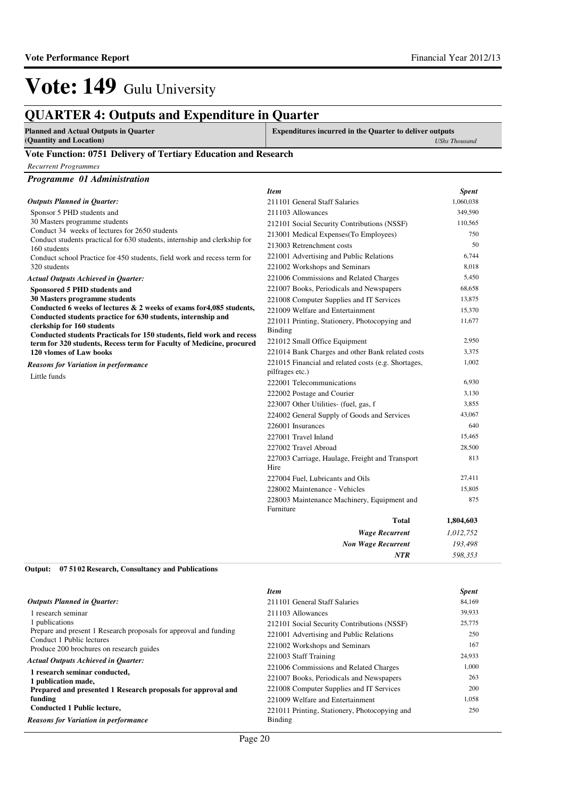*598,353*

*NTR*

# Vote: 149 Gulu University

## **QUARTER 4: Outputs and Expenditure in Quarter**

| <b>Planned and Actual Outputs in Quarter</b> |  |
|----------------------------------------------|--|
| (Quantity and Location)                      |  |

**Expenditures incurred in the Quarter to deliver outputs**  *UShs Thousand*

### **Vote Function: 0751 Delivery of Tertiary Education and Research**

*Recurrent Programmes*

| Programme 01 Administration                                                                |                                                                        |              |
|--------------------------------------------------------------------------------------------|------------------------------------------------------------------------|--------------|
|                                                                                            | <b>Item</b>                                                            | <b>Spent</b> |
| <b>Outputs Planned in Quarter:</b>                                                         | 211101 General Staff Salaries                                          | 1,060,038    |
| Sponsor 5 PHD students and                                                                 | 211103 Allowances                                                      | 349,590      |
| 30 Masters programme students                                                              | 212101 Social Security Contributions (NSSF)                            | 110,565      |
| Conduct 34 weeks of lectures for 2650 students                                             | 213001 Medical Expenses(To Employees)                                  | 750          |
| Conduct students practical for 630 students, internship and clerkship for<br>160 students  | 213003 Retrenchment costs                                              | 50           |
| Conduct school Practice for 450 students, field work and recess term for                   | 221001 Advertising and Public Relations                                | 6,744        |
| 320 students                                                                               | 221002 Workshops and Seminars                                          | 8,018        |
| <b>Actual Outputs Achieved in Quarter:</b>                                                 | 221006 Commissions and Related Charges                                 | 5,450        |
| Sponsored 5 PHD students and                                                               | 221007 Books, Periodicals and Newspapers                               | 68,658       |
| 30 Masters programme students                                                              | 221008 Computer Supplies and IT Services                               | 13,875       |
| Conducted 6 weeks of lectures $\&$ 2 weeks of exams for 4,085 students,                    | 221009 Welfare and Entertainment                                       | 15,370       |
| Conducted students practice for 630 students, internship and<br>clerkship for 160 students | 221011 Printing, Stationery, Photocopying and                          | 11,677       |
| Conducted students Practicals for 150 students, field work and recess                      | <b>Binding</b>                                                         |              |
| term for 320 students, Recess term for Faculty of Medicine, procured                       | 221012 Small Office Equipment                                          | 2,950        |
| 120 vlomes of Law books                                                                    | 221014 Bank Charges and other Bank related costs                       | 3,375        |
| Reasons for Variation in performance<br>Little funds                                       | 221015 Financial and related costs (e.g. Shortages,<br>pilfrages etc.) | 1,002        |
|                                                                                            | 222001 Telecommunications                                              | 6,930        |
|                                                                                            | 222002 Postage and Courier                                             | 3,130        |
|                                                                                            | 223007 Other Utilities- (fuel, gas, f                                  | 3,855        |
|                                                                                            | 224002 General Supply of Goods and Services                            | 43,067       |
|                                                                                            | 226001 Insurances                                                      | 640          |
|                                                                                            | 227001 Travel Inland                                                   | 15,465       |
|                                                                                            | 227002 Travel Abroad                                                   | 28,500       |
|                                                                                            | 227003 Carriage, Haulage, Freight and Transport<br>Hire                | 813          |
|                                                                                            | 227004 Fuel, Lubricants and Oils                                       | 27,411       |
|                                                                                            | 228002 Maintenance - Vehicles                                          | 15,805       |
|                                                                                            | 228003 Maintenance Machinery, Equipment and<br>Furniture               | 875          |
|                                                                                            | <b>Total</b>                                                           | 1,804,603    |
|                                                                                            | <b>Wage Recurrent</b>                                                  | 1,012,752    |
|                                                                                            | <b>Non Wage Recurrent</b>                                              | 193.498      |

**07 5102 Research, Consultancy and Publications Output:**

|                                                                       | <b>Item</b>                                   | <b>Spent</b> |
|-----------------------------------------------------------------------|-----------------------------------------------|--------------|
| <b>Outputs Planned in Ouarter:</b>                                    | 211101 General Staff Salaries                 | 84.169       |
| l research seminar                                                    | 211103 Allowances                             | 39,933       |
| 1 publications                                                        | 212101 Social Security Contributions (NSSF)   | 25,775       |
| Prepare and present 1 Research proposals for approval and funding     | 221001 Advertising and Public Relations       | 250          |
| Conduct 1 Public lectures<br>Produce 200 brochures on research guides | 221002 Workshops and Seminars                 | 167          |
| <b>Actual Outputs Achieved in Ouarter:</b>                            | 221003 Staff Training                         | 24,933       |
|                                                                       | 221006 Commissions and Related Charges        | 1,000        |
| 1 research seminar conducted,<br>1 publication made,                  | 221007 Books, Periodicals and Newspapers      | 263          |
| Prepared and presented 1 Research proposals for approval and          | 221008 Computer Supplies and IT Services      | 200          |
| funding                                                               | 221009 Welfare and Entertainment              | 1.058        |
| Conducted 1 Public lecture,                                           | 221011 Printing, Stationery, Photocopying and | 250          |
| <b>Reasons for Variation in performance</b>                           | Binding                                       |              |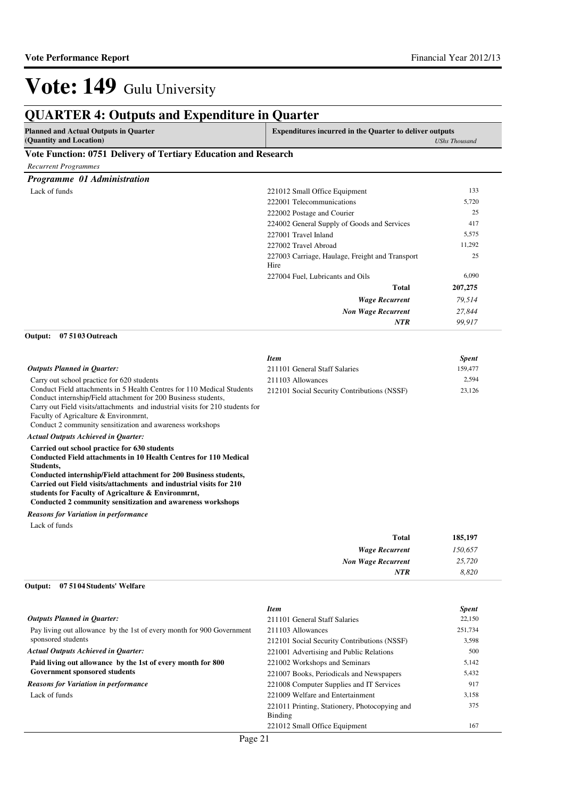|                                                                                                                                                                                                                                                                                                                  | <b>QUARTER 4: Outputs and Expenditure in Quarter</b>             |                      |
|------------------------------------------------------------------------------------------------------------------------------------------------------------------------------------------------------------------------------------------------------------------------------------------------------------------|------------------------------------------------------------------|----------------------|
| <b>Planned and Actual Outputs in Quarter</b><br>(Quantity and Location)                                                                                                                                                                                                                                          | <b>Expenditures incurred in the Quarter to deliver outputs</b>   | <b>UShs Thousand</b> |
| Vote Function: 0751 Delivery of Tertiary Education and Research                                                                                                                                                                                                                                                  |                                                                  |                      |
| <b>Recurrent Programmes</b>                                                                                                                                                                                                                                                                                      |                                                                  |                      |
| Programme 01 Administration                                                                                                                                                                                                                                                                                      |                                                                  |                      |
| Lack of funds                                                                                                                                                                                                                                                                                                    | 221012 Small Office Equipment                                    | 133                  |
|                                                                                                                                                                                                                                                                                                                  | 222001 Telecommunications                                        | 5,720                |
|                                                                                                                                                                                                                                                                                                                  | 222002 Postage and Courier                                       | 25                   |
|                                                                                                                                                                                                                                                                                                                  | 224002 General Supply of Goods and Services                      | 417                  |
|                                                                                                                                                                                                                                                                                                                  | 227001 Travel Inland                                             | 5,575                |
|                                                                                                                                                                                                                                                                                                                  | 227002 Travel Abroad                                             | 11,292               |
|                                                                                                                                                                                                                                                                                                                  | 227003 Carriage, Haulage, Freight and Transport<br>Hire          | 25                   |
|                                                                                                                                                                                                                                                                                                                  | 227004 Fuel, Lubricants and Oils                                 | 6,090                |
|                                                                                                                                                                                                                                                                                                                  | <b>Total</b>                                                     | 207,275              |
|                                                                                                                                                                                                                                                                                                                  | <b>Wage Recurrent</b>                                            | 79,514               |
|                                                                                                                                                                                                                                                                                                                  | <b>Non Wage Recurrent</b>                                        | 27,844               |
|                                                                                                                                                                                                                                                                                                                  | NTR                                                              | 99,917               |
| 07 51 03 Outreach<br>Output:                                                                                                                                                                                                                                                                                     |                                                                  |                      |
|                                                                                                                                                                                                                                                                                                                  | <b>Item</b>                                                      | <b>Spent</b>         |
| <b>Outputs Planned in Quarter:</b>                                                                                                                                                                                                                                                                               | 211101 General Staff Salaries                                    | 159,477              |
| Carry out school practice for 620 students<br>Conduct Field attachments in 5 Health Centres for 110 Medical Students<br>Conduct internship/Field attachment for 200 Business students,<br>Carry out Field visits/attachments and industrial visits for 210 students for<br>Faculty of Agricalture & Environment, | 211103 Allowances<br>212101 Social Security Contributions (NSSF) | 2,594<br>23,126      |
| Conduct 2 community sensitization and awareness workshops                                                                                                                                                                                                                                                        |                                                                  |                      |
| <b>Actual Outputs Achieved in Quarter:</b><br>Carried out school practice for 630 students<br><b>Conducted Field attachments in 10 Health Centres for 110 Medical</b><br>Students,                                                                                                                               |                                                                  |                      |
| Conducted internship/Field attachment for 200 Business students,<br>Carried out Field visits/attachments and industrial visits for 210<br>students for Faculty of Agricalture & Environment,<br>Conducted 2 community sensitization and awareness workshops                                                      |                                                                  |                      |
| <b>Reasons for Variation in performance</b>                                                                                                                                                                                                                                                                      |                                                                  |                      |
| Lack of funds                                                                                                                                                                                                                                                                                                    |                                                                  |                      |
|                                                                                                                                                                                                                                                                                                                  | <b>Total</b>                                                     | 185,197              |
|                                                                                                                                                                                                                                                                                                                  | <b>Wage Recurrent</b>                                            | 150,657              |
|                                                                                                                                                                                                                                                                                                                  | <b>Non Wage Recurrent</b>                                        | 25,720               |
|                                                                                                                                                                                                                                                                                                                  | NTR                                                              | 8,820                |
| 07 5104 Students' Welfare<br>Output:                                                                                                                                                                                                                                                                             |                                                                  |                      |
|                                                                                                                                                                                                                                                                                                                  | <b>Item</b>                                                      | <b>Spent</b>         |
| <b>Outputs Planned in Quarter:</b>                                                                                                                                                                                                                                                                               | 211101 General Staff Salaries                                    | 22,150               |
| Pay living out allowance by the 1st of every month for 900 Government                                                                                                                                                                                                                                            | 211103 Allowances                                                | 251,734              |
| sponsored students                                                                                                                                                                                                                                                                                               | 212101 Social Security Contributions (NSSF)                      | 3,598                |
| <b>Actual Outputs Achieved in Quarter:</b>                                                                                                                                                                                                                                                                       | 221001 Advertising and Public Relations                          | 500                  |
| Paid living out allowance by the 1st of every month for 800                                                                                                                                                                                                                                                      | 221002 Workshops and Seminars                                    | 5,142                |

**Government sponsored students**

*Reasons for Variation in performance*

Lack of funds

Binding

221007 Books, Periodicals and Newspapers 5,432 221008 Computer Supplies and IT Services 917 221009 Welfare and Entertainment 3,158

221012 Small Office Equipment 167

375

221011 Printing, Stationery, Photocopying and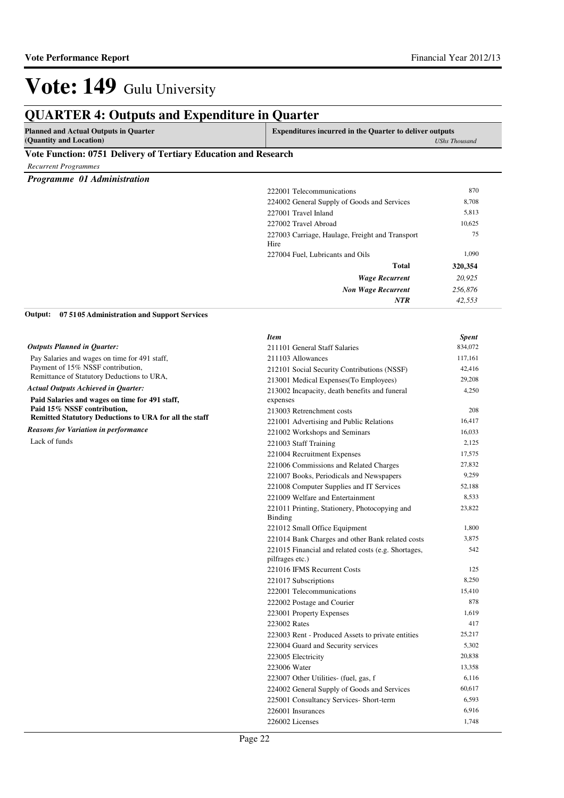## **QUARTER 4: Outputs and Expenditure in Quarter**

| <b>Planned and Actual Outputs in Quarter</b> | <b>Expenditures incurred in the Quarter to deliver outputs</b> |
|----------------------------------------------|----------------------------------------------------------------|
| (Quantity and Location)                      | <b>UShs Thousand</b>                                           |

### **Vote Function: 0751 Delivery of Tertiary Education and Research**

| <b>Recurrent Programmes</b> |  |
|-----------------------------|--|
|-----------------------------|--|

*Programme 01 Administration*

| 222001 Telecommunications                               | 870     |
|---------------------------------------------------------|---------|
| 224002 General Supply of Goods and Services             | 8,708   |
| 227001 Travel Inland                                    | 5,813   |
| 227002 Travel Abroad                                    | 10,625  |
| 227003 Carriage, Haulage, Freight and Transport<br>Hire | 75      |
| 227004 Fuel, Lubricants and Oils                        | 1,090   |
| <b>Total</b>                                            | 320,354 |
| <b>Wage Recurrent</b>                                   | 20,925  |
| <b>Non Wage Recurrent</b>                               | 256,876 |
| <b>NTR</b>                                              | 42,553  |

**07 5105 Administration and Support Services Output:**

|                                                        | <b>Item</b>                                                            | <b>Spent</b> |
|--------------------------------------------------------|------------------------------------------------------------------------|--------------|
| <b>Outputs Planned in Quarter:</b>                     | 211101 General Staff Salaries                                          | 834,072      |
| Pay Salaries and wages on time for 491 staff,          | 211103 Allowances                                                      | 117,161      |
| Payment of 15% NSSF contribution,                      | 212101 Social Security Contributions (NSSF)                            | 42,416       |
| Remittance of Statutory Deductions to URA,             | 213001 Medical Expenses(To Employees)                                  | 29,208       |
| <b>Actual Outputs Achieved in Quarter:</b>             | 213002 Incapacity, death benefits and funeral                          | 4,250        |
| Paid Salaries and wages on time for 491 staff,         | expenses                                                               |              |
| Paid 15% NSSF contribution,                            | 213003 Retrenchment costs                                              | 208          |
| Remitted Statutory Deductions to URA for all the staff | 221001 Advertising and Public Relations                                | 16,417       |
| <b>Reasons for Variation in performance</b>            | 221002 Workshops and Seminars                                          | 16,033       |
| Lack of funds                                          | 221003 Staff Training                                                  | 2,125        |
|                                                        | 221004 Recruitment Expenses                                            | 17,575       |
|                                                        | 221006 Commissions and Related Charges                                 | 27,832       |
|                                                        | 221007 Books, Periodicals and Newspapers                               | 9,259        |
|                                                        | 221008 Computer Supplies and IT Services                               | 52,188       |
|                                                        | 221009 Welfare and Entertainment                                       | 8,533        |
|                                                        | 221011 Printing, Stationery, Photocopying and<br>Binding               | 23,822       |
|                                                        | 221012 Small Office Equipment                                          | 1,800        |
|                                                        | 221014 Bank Charges and other Bank related costs                       | 3,875        |
|                                                        | 221015 Financial and related costs (e.g. Shortages,<br>pilfrages etc.) | 542          |
|                                                        | 221016 IFMS Recurrent Costs                                            | 125          |
|                                                        | 221017 Subscriptions                                                   | 8,250        |
|                                                        | 222001 Telecommunications                                              | 15,410       |
|                                                        | 222002 Postage and Courier                                             | 878          |
|                                                        | 223001 Property Expenses                                               | 1,619        |
|                                                        | 223002 Rates                                                           | 417          |
|                                                        | 223003 Rent - Produced Assets to private entities                      | 25,217       |
|                                                        | 223004 Guard and Security services                                     | 5,302        |
|                                                        | 223005 Electricity                                                     | 20,838       |
|                                                        | 223006 Water                                                           | 13,358       |
|                                                        | 223007 Other Utilities- (fuel, gas, f                                  | 6,116        |
|                                                        | 224002 General Supply of Goods and Services                            | 60,617       |
|                                                        | 225001 Consultancy Services- Short-term                                | 6,593        |
|                                                        | 226001 Insurances                                                      | 6,916        |
|                                                        | 226002 Licenses                                                        | 1,748        |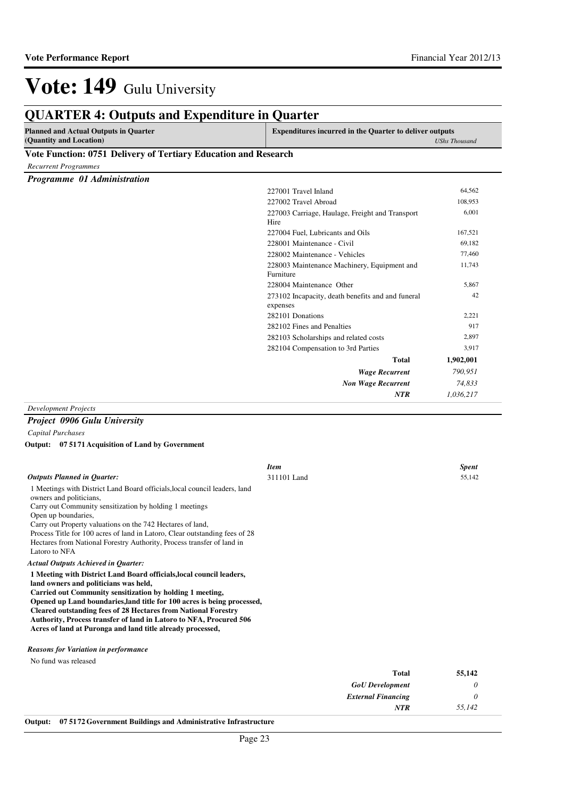#### **QUARTER 4: Outputs and Expenditure in Quarter Planned and Actual Outputs in Quarter (Quantity and Location) Expenditures incurred in the Quarter to deliver outputs**  *UShs Thousand* **Vote Function: 0751 Delivery of Tertiary Education and Research** *Recurrent Programmes Programme 01 Administration Wage Recurrent Non Wage Recurrent* **Total** *790,951 74,833 1,036,217* **1,902,001** *NTR* 227001 Travel Inland 64,562 227002 Travel Abroad 108,953 227003 Carriage, Haulage, Freight and Transport Hire 6,001 227004 Fuel, Lubricants and Oils 167,521 228001 Maintenance - Civil 69,182 228002 Maintenance - Vehicles 77,460 228003 Maintenance Machinery, Equipment and Furniture 11,743 228004 Maintenance Other 5,867 273102 Incapacity, death benefits and and funeral expenses 42 282101 Donations 2,221 282102 Fines and Penalties 917 282103 Scholarships and related costs 2,897 282104 Compensation to 3rd Parties 3,917 *Development Projects*

### *Project 0906 Gulu University*

*Capital Purchases*

**07 5171 Acquisition of Land by Government Output:**

|                                                                                                                                                                                                                                                                                                                                                                                                                                                                           | <b>Item</b> | <b>Spent</b> |
|---------------------------------------------------------------------------------------------------------------------------------------------------------------------------------------------------------------------------------------------------------------------------------------------------------------------------------------------------------------------------------------------------------------------------------------------------------------------------|-------------|--------------|
| <b>Outputs Planned in Quarter:</b><br>1 Meetings with District Land Board officials, local council leaders, land<br>owners and politicians,<br>Carry out Community sensitization by holding 1 meetings<br>Open up boundaries,<br>Carry out Property valuations on the 742 Hectares of land,<br>Process Title for 100 acres of land in Latoro, Clear outstanding fees of 28<br>Hectares from National Forestry Authority, Process transfer of land in<br>Latoro to NFA     | 311101 Land | 55,142       |
| <b>Actual Outputs Achieved in Quarter:</b>                                                                                                                                                                                                                                                                                                                                                                                                                                |             |              |
| 1 Meeting with District Land Board officials, local council leaders,<br>land owners and politicians was held,<br>Carried out Community sensitization by holding 1 meeting,<br>Opened up Land boundaries, land title for 100 acres is being processed,<br><b>Cleared outstanding fees of 28 Hectares from National Forestry</b><br><b>Authority, Process transfer of land in Latoro to NFA, Procured 506</b><br>Acres of land at Puronga and land title already processed, |             |              |
| <b>Reasons for Variation in performance</b>                                                                                                                                                                                                                                                                                                                                                                                                                               |             |              |
| No fund was released                                                                                                                                                                                                                                                                                                                                                                                                                                                      |             |              |

|   | 55,142 | <b>Total</b>              |
|---|--------|---------------------------|
| U |        | <b>GoU</b> Development    |
|   |        | <b>External Financing</b> |
|   | 55,142 | <b>NTR</b>                |
|   |        |                           |

**Output: 07 5172 Government Buildings and Administrative Infrastructure**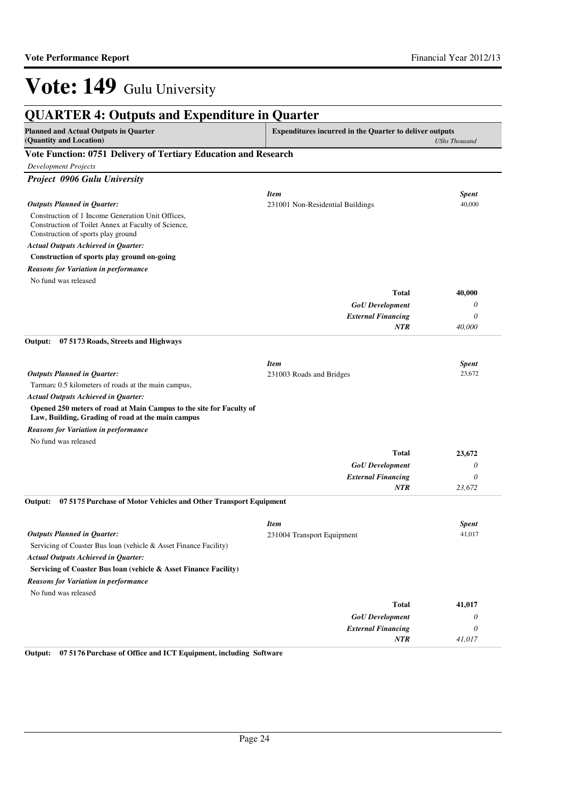| <b>Planned and Actual Outputs in Quarter</b><br>(Quantity and Location)                                                                        | <b>Expenditures incurred in the Quarter to deliver outputs</b><br><b>UShs Thousand</b> |              |
|------------------------------------------------------------------------------------------------------------------------------------------------|----------------------------------------------------------------------------------------|--------------|
| Vote Function: 0751 Delivery of Tertiary Education and Research                                                                                |                                                                                        |              |
| Development Projects                                                                                                                           |                                                                                        |              |
| Project 0906 Gulu University                                                                                                                   |                                                                                        |              |
|                                                                                                                                                | <b>Item</b>                                                                            | <b>Spent</b> |
| <b>Outputs Planned in Quarter:</b>                                                                                                             | 231001 Non-Residential Buildings                                                       | 40,000       |
| Construction of 1 Income Generation Unit Offices,<br>Construction of Toilet Annex at Faculty of Science,<br>Construction of sports play ground |                                                                                        |              |
| Actual Outputs Achieved in Quarter:                                                                                                            |                                                                                        |              |
| Construction of sports play ground on-going                                                                                                    |                                                                                        |              |
| <b>Reasons for Variation in performance</b>                                                                                                    |                                                                                        |              |
| No fund was released                                                                                                                           |                                                                                        |              |
|                                                                                                                                                | <b>Total</b>                                                                           | 40,000       |
|                                                                                                                                                | <b>GoU</b> Development                                                                 | 0            |
|                                                                                                                                                | <b>External Financing</b>                                                              | 0            |
|                                                                                                                                                | <b>NTR</b>                                                                             | 40,000       |
| Output:<br>07 5173 Roads, Streets and Highways                                                                                                 |                                                                                        |              |
|                                                                                                                                                | <b>Item</b>                                                                            | <b>Spent</b> |
| <b>Outputs Planned in Quarter:</b>                                                                                                             | 231003 Roads and Bridges                                                               | 23,672       |
| Tarmarc 0.5 kilometers of roads at the main campus,                                                                                            |                                                                                        |              |
| <b>Actual Outputs Achieved in Quarter:</b>                                                                                                     |                                                                                        |              |
| Opened 250 meters of road at Main Campus to the site for Faculty of<br>Law, Building, Grading of road at the main campus                       |                                                                                        |              |
| <b>Reasons for Variation in performance</b>                                                                                                    |                                                                                        |              |
| No fund was released                                                                                                                           |                                                                                        |              |
|                                                                                                                                                | <b>Total</b>                                                                           | 23,672       |
|                                                                                                                                                | <b>GoU</b> Development                                                                 | 0            |
|                                                                                                                                                | <b>External Financing</b>                                                              | 0            |
| 07 5175 Purchase of Motor Vehicles and Other Transport Equipment<br>Output:                                                                    | <b>NTR</b>                                                                             | 23,672       |
|                                                                                                                                                |                                                                                        |              |
|                                                                                                                                                | <b>Item</b>                                                                            | <b>Spent</b> |
| <b>Outputs Planned in Quarter:</b>                                                                                                             | 231004 Transport Equipment                                                             | 41,017       |
| Servicing of Coaster Bus loan (vehicle & Asset Finance Facility)                                                                               |                                                                                        |              |
| <b>Actual Outputs Achieved in Quarter:</b>                                                                                                     |                                                                                        |              |
| Servicing of Coaster Bus loan (vehicle & Asset Finance Facility)                                                                               |                                                                                        |              |
| <b>Reasons for Variation in performance</b>                                                                                                    |                                                                                        |              |
| No fund was released                                                                                                                           |                                                                                        |              |
|                                                                                                                                                | <b>Total</b>                                                                           | 41,017       |
|                                                                                                                                                | <b>GoU</b> Development                                                                 | 0            |
|                                                                                                                                                | <b>External Financing</b>                                                              | 0            |
|                                                                                                                                                | <b>NTR</b>                                                                             | 41,017       |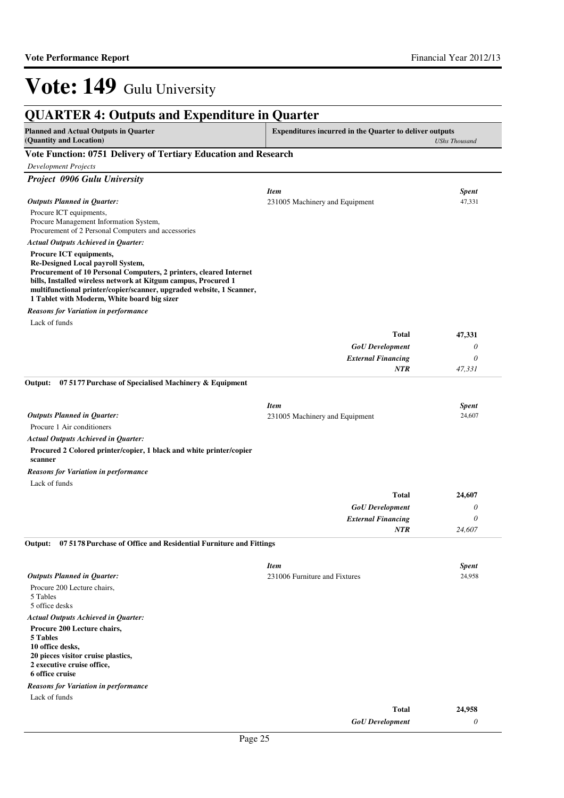| <b>QUARTER 4: Outputs and Expenditure in Quarter</b>                                                                                                                                                                                                                                                                                                                                                                     |                                                                                   |                            |
|--------------------------------------------------------------------------------------------------------------------------------------------------------------------------------------------------------------------------------------------------------------------------------------------------------------------------------------------------------------------------------------------------------------------------|-----------------------------------------------------------------------------------|----------------------------|
| <b>Planned and Actual Outputs in Quarter</b><br>(Quantity and Location)                                                                                                                                                                                                                                                                                                                                                  | Expenditures incurred in the Quarter to deliver outputs<br><b>UShs Thousand</b>   |                            |
| Vote Function: 0751 Delivery of Tertiary Education and Research                                                                                                                                                                                                                                                                                                                                                          |                                                                                   |                            |
| <b>Development Projects</b>                                                                                                                                                                                                                                                                                                                                                                                              |                                                                                   |                            |
| Project 0906 Gulu University                                                                                                                                                                                                                                                                                                                                                                                             |                                                                                   |                            |
| <b>Outputs Planned in Quarter:</b><br>Procure ICT equipments,<br>Procure Management Information System,<br>Procurement of 2 Personal Computers and accessories                                                                                                                                                                                                                                                           | <b>Item</b><br>231005 Machinery and Equipment                                     | <b>Spent</b><br>47,331     |
| <b>Actual Outputs Achieved in Quarter:</b><br>Procure ICT equipments,<br>Re-Designed Local payroll System,<br>Procurement of 10 Personal Computers, 2 printers, cleared Internet<br>bills, Installed wireless network at Kitgum campus, Procured 1<br>multifunctional printer/copier/scanner, upgraded website, 1 Scanner,<br>1 Tablet with Moderm, White board big sizer<br><b>Reasons for Variation in performance</b> |                                                                                   |                            |
| Lack of funds                                                                                                                                                                                                                                                                                                                                                                                                            |                                                                                   |                            |
|                                                                                                                                                                                                                                                                                                                                                                                                                          | <b>Total</b><br><b>GoU</b> Development<br><b>External Financing</b><br><b>NTR</b> | 47,331<br>0<br>0<br>47,331 |
| 07 5177 Purchase of Specialised Machinery & Equipment<br>Output:                                                                                                                                                                                                                                                                                                                                                         |                                                                                   |                            |
|                                                                                                                                                                                                                                                                                                                                                                                                                          |                                                                                   |                            |
| <b>Outputs Planned in Quarter:</b><br>Procure 1 Air conditioners<br><b>Actual Outputs Achieved in Quarter:</b><br>Procured 2 Colored printer/copier, 1 black and white printer/copier<br>scanner                                                                                                                                                                                                                         | <b>Item</b><br>231005 Machinery and Equipment                                     | <b>Spent</b><br>24,607     |
| <b>Reasons for Variation in performance</b>                                                                                                                                                                                                                                                                                                                                                                              |                                                                                   |                            |
| Lack of funds                                                                                                                                                                                                                                                                                                                                                                                                            |                                                                                   |                            |
|                                                                                                                                                                                                                                                                                                                                                                                                                          | <b>Total</b>                                                                      | 24,607                     |
|                                                                                                                                                                                                                                                                                                                                                                                                                          | <b>GoU</b> Development                                                            | 0                          |
|                                                                                                                                                                                                                                                                                                                                                                                                                          | <b>External Financing</b>                                                         | 0                          |
| 07 5178 Purchase of Office and Residential Furniture and Fittings<br>Output:                                                                                                                                                                                                                                                                                                                                             | <b>NTR</b>                                                                        | 24,607                     |
| <b>Outputs Planned in Quarter:</b><br>Procure 200 Lecture chairs,<br>5 Tables<br>5 office desks<br><b>Actual Outputs Achieved in Quarter:</b><br>Procure 200 Lecture chairs,<br>5 Tables                                                                                                                                                                                                                                 | <b>Item</b><br>231006 Furniture and Fixtures                                      | <b>Spent</b><br>24,958     |
| 10 office desks,<br>20 pieces visitor cruise plastics,<br>2 executive cruise office,<br>6 office cruise                                                                                                                                                                                                                                                                                                                  |                                                                                   |                            |
| <b>Reasons for Variation in performance</b>                                                                                                                                                                                                                                                                                                                                                                              |                                                                                   |                            |
| Lack of funds                                                                                                                                                                                                                                                                                                                                                                                                            | <b>Total</b>                                                                      | 24,958                     |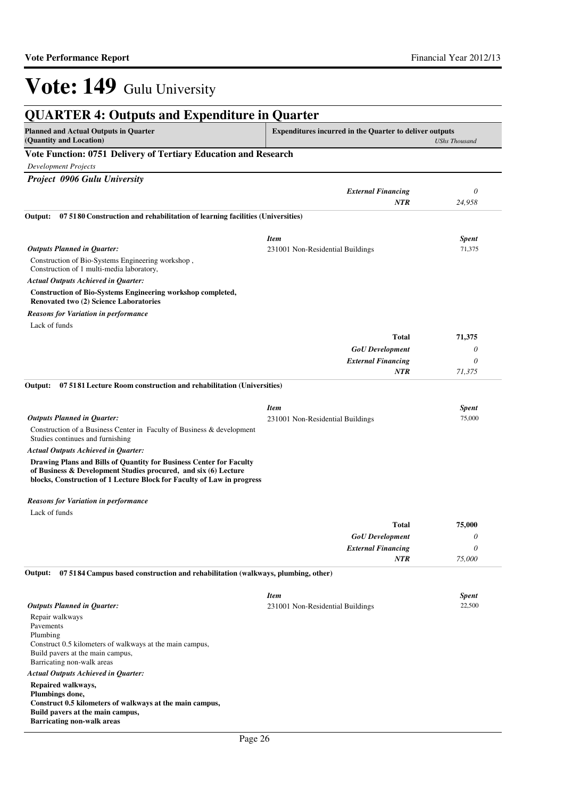| <b>QUARTER 4: Outputs and Expenditure in Quarter</b>                                                                                                                                                             |                                                                |                        |
|------------------------------------------------------------------------------------------------------------------------------------------------------------------------------------------------------------------|----------------------------------------------------------------|------------------------|
| <b>Planned and Actual Outputs in Quarter</b><br>(Quantity and Location)                                                                                                                                          | <b>Expenditures incurred in the Quarter to deliver outputs</b> | <b>UShs Thousand</b>   |
| Vote Function: 0751 Delivery of Tertiary Education and Research                                                                                                                                                  |                                                                |                        |
| <b>Development Projects</b>                                                                                                                                                                                      |                                                                |                        |
| Project 0906 Gulu University                                                                                                                                                                                     |                                                                |                        |
|                                                                                                                                                                                                                  | <b>External Financing</b>                                      | $\theta$               |
|                                                                                                                                                                                                                  | NTR                                                            | 24,958                 |
| 07 5180 Construction and rehabilitation of learning facilities (Universities)<br>Output:                                                                                                                         |                                                                |                        |
| <b>Outputs Planned in Quarter:</b>                                                                                                                                                                               | <b>Item</b><br>231001 Non-Residential Buildings                | <b>Spent</b><br>71,375 |
| Construction of Bio-Systems Engineering workshop,<br>Construction of 1 multi-media laboratory,                                                                                                                   |                                                                |                        |
| <b>Actual Outputs Achieved in Quarter:</b>                                                                                                                                                                       |                                                                |                        |
| <b>Construction of Bio-Systems Engineering workshop completed,</b><br><b>Renovated two (2) Science Laboratories</b>                                                                                              |                                                                |                        |
| Reasons for Variation in performance                                                                                                                                                                             |                                                                |                        |
| Lack of funds                                                                                                                                                                                                    |                                                                |                        |
|                                                                                                                                                                                                                  | <b>Total</b>                                                   | 71,375                 |
|                                                                                                                                                                                                                  | <b>GoU</b> Development                                         | 0                      |
|                                                                                                                                                                                                                  | <b>External Financing</b><br>NTR                               | 0<br>71,375            |
|                                                                                                                                                                                                                  |                                                                |                        |
| 07 5181 Lecture Room construction and rehabilitation (Universities)<br>Output:                                                                                                                                   |                                                                |                        |
|                                                                                                                                                                                                                  | <b>Item</b>                                                    | <b>Spent</b>           |
| <b>Outputs Planned in Quarter:</b>                                                                                                                                                                               | 231001 Non-Residential Buildings                               | 75,000                 |
| Construction of a Business Center in Faculty of Business & development<br>Studies continues and furnishing                                                                                                       |                                                                |                        |
| Actual Outputs Achieved in Quarter:                                                                                                                                                                              |                                                                |                        |
| Drawing Plans and Bills of Quantity for Business Center for Faculty<br>of Business & Development Studies procured, and six (6) Lecture<br>blocks, Construction of 1 Lecture Block for Faculty of Law in progress |                                                                |                        |
| Reasons for Variation in performance                                                                                                                                                                             |                                                                |                        |
| Lack of funds                                                                                                                                                                                                    |                                                                |                        |
|                                                                                                                                                                                                                  | <b>Total</b>                                                   | 75,000                 |
|                                                                                                                                                                                                                  | <b>GoU</b> Development                                         | 0                      |
|                                                                                                                                                                                                                  | <b>External Financing</b>                                      | $\theta$               |
|                                                                                                                                                                                                                  | NTR                                                            | 75,000                 |
| Output:<br>07 5184 Campus based construction and rehabilitation (walkways, plumbing, other)                                                                                                                      |                                                                |                        |
|                                                                                                                                                                                                                  | <b>Item</b>                                                    | <b>Spent</b>           |
| <b>Outputs Planned in Quarter:</b>                                                                                                                                                                               | 231001 Non-Residential Buildings                               | 22,500                 |
| Repair walkways<br>Pavements                                                                                                                                                                                     |                                                                |                        |
| Plumbing                                                                                                                                                                                                         |                                                                |                        |
| Construct 0.5 kilometers of walkways at the main campus,<br>Build pavers at the main campus,<br>Barricating non-walk areas                                                                                       |                                                                |                        |
| <b>Actual Outputs Achieved in Quarter:</b>                                                                                                                                                                       |                                                                |                        |
| Repaired walkways,                                                                                                                                                                                               |                                                                |                        |
| Plumbings done,                                                                                                                                                                                                  |                                                                |                        |
| Construct 0.5 kilometers of walkways at the main campus,<br>Build pavers at the main campus,<br><b>Barricating non-walk areas</b>                                                                                |                                                                |                        |
|                                                                                                                                                                                                                  |                                                                |                        |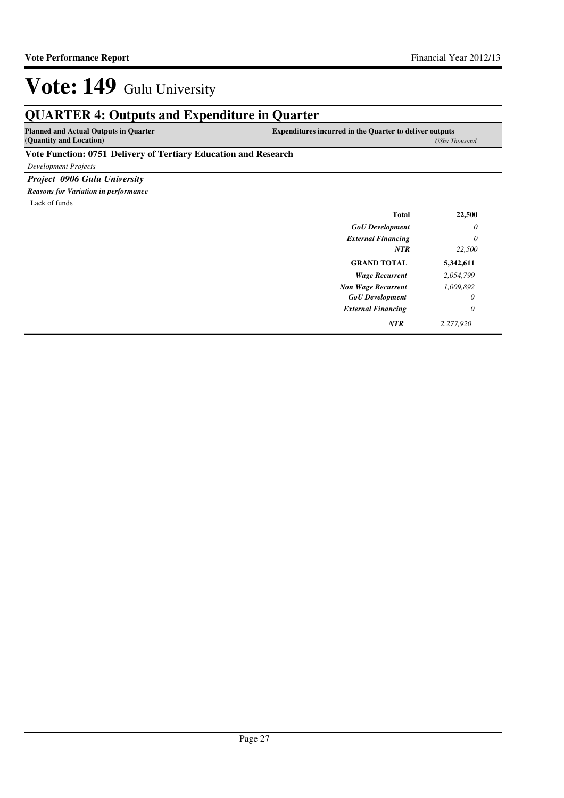## **QUARTER 4: Outputs and Expenditure in Quarter**

**Planned and Actual Outputs in Quarter (Quantity and Location)**

**Expenditures incurred in the Quarter to deliver outputs**  *UShs Thousand*

### **Vote Function: 0751 Delivery of Tertiary Education and Research**

*Development Projects*

*Project 0906 Gulu University Reasons for Variation in performance*

Lack of funds

| <b>Total</b>              | 22,500    |
|---------------------------|-----------|
| <b>GoU</b> Development    | $\theta$  |
| <b>External Financing</b> | $\theta$  |
| <b>NTR</b>                | 22,500    |
| <b>GRAND TOTAL</b>        | 5,342,611 |
| <b>Wage Recurrent</b>     | 2,054,799 |
| <b>Non Wage Recurrent</b> | 1,009,892 |
| <b>GoU</b> Development    | $\theta$  |
| <b>External Financing</b> | $\theta$  |
| <b>NTR</b>                | 2,277,920 |